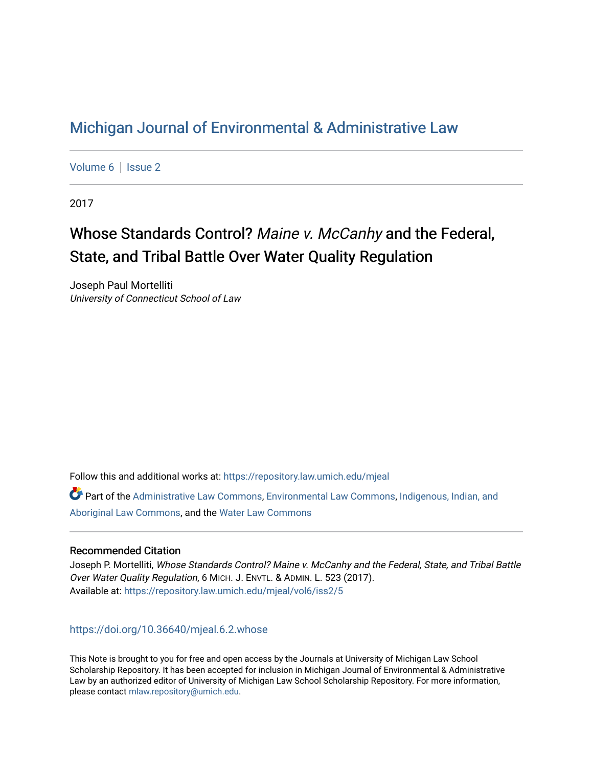## [Michigan Journal of Environmental & Administrative Law](https://repository.law.umich.edu/mjeal)

[Volume 6](https://repository.law.umich.edu/mjeal/vol6) | Issue 2

2017

# Whose Standards Control? Maine v. McCanhy and the Federal, State, and Tribal Battle Over Water Quality Regulation

Joseph Paul Mortelliti University of Connecticut School of Law

Follow this and additional works at: [https://repository.law.umich.edu/mjeal](https://repository.law.umich.edu/mjeal?utm_source=repository.law.umich.edu%2Fmjeal%2Fvol6%2Fiss2%2F5&utm_medium=PDF&utm_campaign=PDFCoverPages)

Part of the [Administrative Law Commons,](http://network.bepress.com/hgg/discipline/579?utm_source=repository.law.umich.edu%2Fmjeal%2Fvol6%2Fiss2%2F5&utm_medium=PDF&utm_campaign=PDFCoverPages) [Environmental Law Commons](http://network.bepress.com/hgg/discipline/599?utm_source=repository.law.umich.edu%2Fmjeal%2Fvol6%2Fiss2%2F5&utm_medium=PDF&utm_campaign=PDFCoverPages), [Indigenous, Indian, and](http://network.bepress.com/hgg/discipline/894?utm_source=repository.law.umich.edu%2Fmjeal%2Fvol6%2Fiss2%2F5&utm_medium=PDF&utm_campaign=PDFCoverPages)  [Aboriginal Law Commons](http://network.bepress.com/hgg/discipline/894?utm_source=repository.law.umich.edu%2Fmjeal%2Fvol6%2Fiss2%2F5&utm_medium=PDF&utm_campaign=PDFCoverPages), and the [Water Law Commons](http://network.bepress.com/hgg/discipline/887?utm_source=repository.law.umich.edu%2Fmjeal%2Fvol6%2Fiss2%2F5&utm_medium=PDF&utm_campaign=PDFCoverPages) 

## Recommended Citation

Joseph P. Mortelliti, Whose Standards Control? Maine v. McCanhy and the Federal, State, and Tribal Battle Over Water Quality Regulation, 6 MICH. J. ENVTL. & ADMIN. L. 523 (2017). Available at: [https://repository.law.umich.edu/mjeal/vol6/iss2/5](https://repository.law.umich.edu/mjeal/vol6/iss2/5?utm_source=repository.law.umich.edu%2Fmjeal%2Fvol6%2Fiss2%2F5&utm_medium=PDF&utm_campaign=PDFCoverPages)

## <https://doi.org/10.36640/mjeal.6.2.whose>

This Note is brought to you for free and open access by the Journals at University of Michigan Law School Scholarship Repository. It has been accepted for inclusion in Michigan Journal of Environmental & Administrative Law by an authorized editor of University of Michigan Law School Scholarship Repository. For more information, please contact [mlaw.repository@umich.edu.](mailto:mlaw.repository@umich.edu)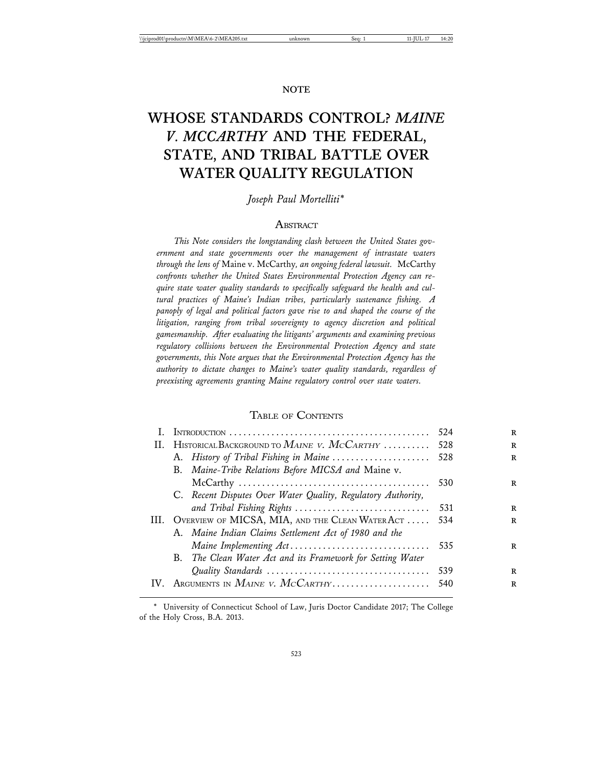## **WHOSE STANDARDS CONTROL?** *MAINE V. MCCARTHY* **AND THE FEDERAL, STATE, AND TRIBAL BATTLE OVER WATER QUALITY REGULATION**

*Joseph Paul Mortelliti\**

#### **A** BSTRACT

*This Note considers the longstanding clash between the United States government and state governments over the management of intrastate waters through the lens of* Maine v. McCarthy*, an ongoing federal lawsuit.* McCarthy *confronts whether the United States Environmental Protection Agency can require state water quality standards to specifically safeguard the health and cultural practices of Maine's Indian tribes, particularly sustenance fishing. A panoply of legal and political factors gave rise to and shaped the course of the litigation, ranging from tribal sovereignty to agency discretion and political gamesmanship. After evaluating the litigants' arguments and examining previous regulatory collisions between the Environmental Protection Agency and state governments, this Note argues that the Environmental Protection Agency has the authority to dictate changes to Maine's water quality standards, regardless of preexisting agreements granting Maine regulatory control over state waters.*

#### TABLE OF CONTENTS

|     |                                                              | 524  |
|-----|--------------------------------------------------------------|------|
| Н.  | HISTORICAL BACKGROUND TO MAINE V. MCCARTHY                   | -528 |
|     | A. History of Tribal Fishing in Maine  528                   |      |
|     | B. Maine-Tribe Relations Before MICSA and Maine v.           |      |
|     |                                                              | 530  |
|     | C. Recent Disputes Over Water Quality, Regulatory Authority, |      |
|     |                                                              | -531 |
|     | III. OVERVIEW OF MICSA, MIA, AND THE CLEAN WATER ACT         | 534  |
|     | A. Maine Indian Claims Settlement Act of 1980 and the        |      |
|     |                                                              | 535  |
|     | B. The Clean Water Act and its Framework for Setting Water   |      |
|     |                                                              | 539  |
| IV. | ARGUMENTS IN $M$ <i>AINE V. McCarthy</i>                     | -540 |
|     |                                                              |      |

<sup>\*</sup> University of Connecticut School of Law, Juris Doctor Candidate 2017; The College of the Holy Cross, B.A. 2013.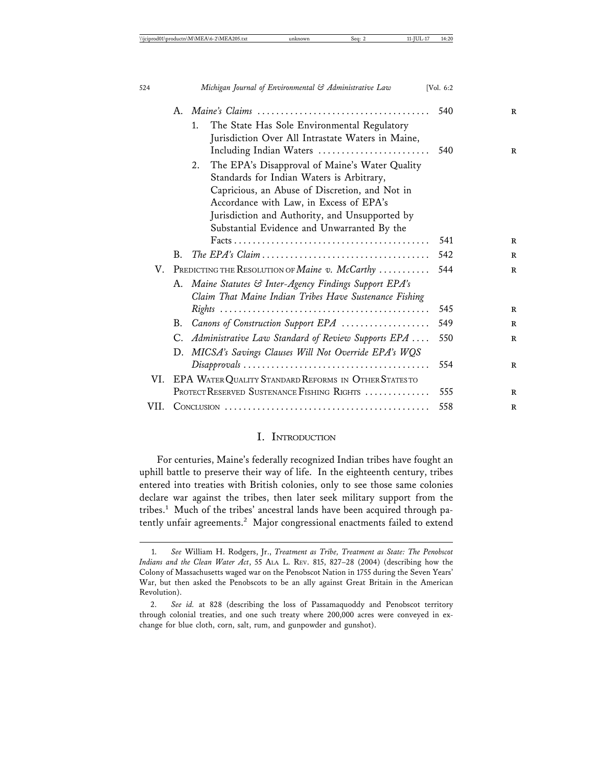|  |  |            |  | $1.1.011$ , $1.011$ , $1.001$ , $1.011$ , $1.011$ , $1.011$ , $1.011$ |  |
|--|--|------------|--|-----------------------------------------------------------------------|--|
|  |  |            |  |                                                                       |  |
|  |  | . <i>.</i> |  |                                                                       |  |

|      |    |                                                         | 540 |
|------|----|---------------------------------------------------------|-----|
|      |    | The State Has Sole Environmental Regulatory<br>1.       |     |
|      |    | Jurisdiction Over All Intrastate Waters in Maine,       |     |
|      |    | Including Indian Waters                                 | 540 |
|      |    | The EPA's Disapproval of Maine's Water Quality<br>2.    |     |
|      |    | Standards for Indian Waters is Arbitrary,               |     |
|      |    | Capricious, an Abuse of Discretion, and Not in          |     |
|      |    | Accordance with Law, in Excess of EPA's                 |     |
|      |    | Jurisdiction and Authority, and Unsupported by          |     |
|      |    | Substantial Evidence and Unwarranted By the             |     |
|      |    |                                                         | 541 |
|      | B. |                                                         | 542 |
| V.   |    | PREDICTING THE RESOLUTION OF <i>Maine</i> v. $McCarthy$ | 544 |
|      | А. | Maine Statutes & Inter-Agency Findings Support EPA's    |     |
|      |    | Claim That Maine Indian Tribes Have Sustenance Fishing  |     |
|      |    |                                                         | 545 |
|      | В. | Canons of Construction Support EPA                      | 549 |
|      |    | C. Administrative Law Standard of Review Supports EPA   | 550 |
|      |    | D. MICSA's Savings Clauses Will Not Override EPA's WQS  |     |
|      |    |                                                         | 554 |
| VI.  |    | EPA WATER QUALITY STANDARD REFORMS IN OTHER STATES TO   |     |
|      |    | PROTECT RESERVED SUSTENANCE FISHING RIGHTS              | 555 |
| VII. |    |                                                         | 558 |
|      |    |                                                         |     |

#### I. INTRODUCTION

For centuries, Maine's federally recognized Indian tribes have fought an uphill battle to preserve their way of life. In the eighteenth century, tribes entered into treaties with British colonies, only to see those same colonies declare war against the tribes, then later seek military support from the tribes.<sup>1</sup> Much of the tribes' ancestral lands have been acquired through patently unfair agreements.<sup>2</sup> Major congressional enactments failed to extend

<sup>1.</sup> *See* William H. Rodgers, Jr., *Treatment as Tribe, Treatment as State: The Penobscot Indians and the Clean Water Act*, 55 ALA. L. REV. 815, 827–28 (2004) (describing how the Colony of Massachusetts waged war on the Penobscot Nation in 1755 during the Seven Years' War, but then asked the Penobscots to be an ally against Great Britain in the American Revolution).

<sup>2.</sup> *See id.* at 828 (describing the loss of Passamaquoddy and Penobscot territory through colonial treaties, and one such treaty where 200,000 acres were conveyed in exchange for blue cloth, corn, salt, rum, and gunpowder and gunshot).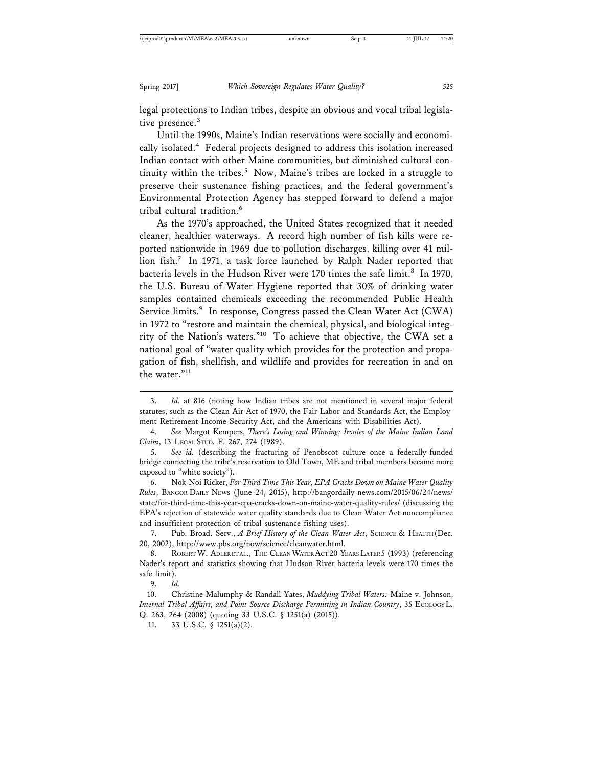legal protections to Indian tribes, despite an obvious and vocal tribal legislative presence.<sup>3</sup>

Until the 1990s, Maine's Indian reservations were socially and economically isolated.<sup>4</sup> Federal projects designed to address this isolation increased Indian contact with other Maine communities, but diminished cultural continuity within the tribes.<sup>5</sup> Now, Maine's tribes are locked in a struggle to preserve their sustenance fishing practices, and the federal government's Environmental Protection Agency has stepped forward to defend a major tribal cultural tradition.<sup>6</sup>

As the 1970's approached, the United States recognized that it needed cleaner, healthier waterways. A record high number of fish kills were reported nationwide in 1969 due to pollution discharges, killing over 41 million fish.<sup>7</sup> In 1971, a task force launched by Ralph Nader reported that bacteria levels in the Hudson River were 170 times the safe limit.<sup>8</sup> In 1970, the U.S. Bureau of Water Hygiene reported that 30% of drinking water samples contained chemicals exceeding the recommended Public Health Service limits.<sup>9</sup> In response, Congress passed the Clean Water Act (CWA) in 1972 to "restore and maintain the chemical, physical, and biological integrity of the Nation's waters."10 To achieve that objective, the CWA set a national goal of "water quality which provides for the protection and propagation of fish, shellfish, and wildlife and provides for recreation in and on the water."<sup>11</sup>

6. Nok-Noi Ricker, *For Third Time This Year, EPA Cracks Down on Maine Water Quality Rules*, BANGOR DAILY NEWS (June 24, 2015), http://bangordaily-news.com/2015/06/24/news/ state/for-third-time-this-year-epa-cracks-down-on-maine-water-quality-rules/ (discussing the EPA's rejection of statewide water quality standards due to Clean Water Act noncompliance and insufficient protection of tribal sustenance fishing uses).

7. Pub. Broad. Serv., *A Brief History of the Clean Water Act*, SCIENCE & HEALTH (Dec. 20, 2002), http://www.pbs.org/now/science/cleanwater.html.

8. ROBERT W. ADLERETAL., THE CLEAN WATER ACT 20 YEARS LATER 5 (1993) (referencing Nader's report and statistics showing that Hudson River bacteria levels were 170 times the safe limit).

9. *Id.*

10. Christine Malumphy & Randall Yates, *Muddying Tribal Waters:* Maine v. Johnson, *Internal Tribal Affairs, and Point Source Discharge Permitting in Indian Country*, 35 ECOLOGY L. Q. 263, 264 (2008) (quoting 33 U.S.C. § 1251(a) (2015)).

11. 33 U.S.C. § 1251(a)(2).

<sup>3.</sup> *Id.* at 816 (noting how Indian tribes are not mentioned in several major federal statutes, such as the Clean Air Act of 1970, the Fair Labor and Standards Act, the Employment Retirement Income Security Act, and the Americans with Disabilities Act).

<sup>4.</sup> *See* Margot Kempers, *There's Losing and Winning: Ironies of the Maine Indian Land Claim*, 13 LEGAL STUD. F. 267, 274 (1989).

<sup>5.</sup> *See id.* (describing the fracturing of Penobscot culture once a federally-funded bridge connecting the tribe's reservation to Old Town, ME and tribal members became more exposed to "white society").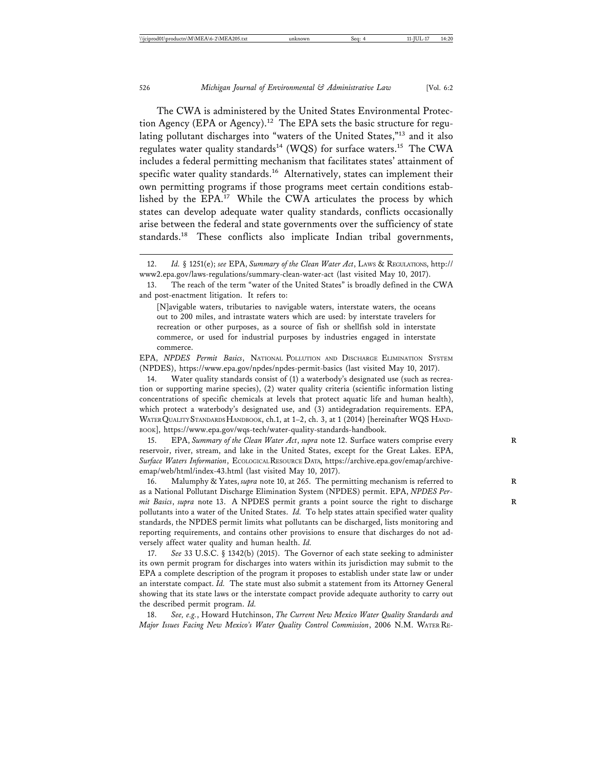The CWA is administered by the United States Environmental Protection Agency (EPA or Agency).<sup>12</sup> The EPA sets the basic structure for regulating pollutant discharges into "waters of the United States,"13 and it also regulates water quality standards<sup>14</sup> (WQS) for surface waters.<sup>15</sup> The CWA includes a federal permitting mechanism that facilitates states' attainment of specific water quality standards.<sup>16</sup> Alternatively, states can implement their own permitting programs if those programs meet certain conditions established by the EPA.<sup>17</sup> While the CWA articulates the process by which states can develop adequate water quality standards, conflicts occasionally arise between the federal and state governments over the sufficiency of state standards.18 These conflicts also implicate Indian tribal governments,

[N]avigable waters, tributaries to navigable waters, interstate waters, the oceans out to 200 miles, and intrastate waters which are used: by interstate travelers for recreation or other purposes, as a source of fish or shellfish sold in interstate commerce, or used for industrial purposes by industries engaged in interstate commerce.

EPA, *NPDES Permit Basics*, NATIONAL POLLUTION AND DISCHARGE ELIMINATION SYSTEM (NPDES), https://www.epa.gov/npdes/npdes-permit-basics (last visited May 10, 2017).

14. Water quality standards consist of (1) a waterbody's designated use (such as recreation or supporting marine species), (2) water quality criteria (scientific information listing concentrations of specific chemicals at levels that protect aquatic life and human health), which protect a waterbody's designated use, and (3) antidegradation requirements. EPA, WATER QUALITY STANDARDS HANDBOOK, ch.1, at 1–2, ch. 3, at 1 (2014) [hereinafter WQS HAND-BOOK], https://www.epa.gov/wqs-tech/water-quality-standards-handbook.

15. EPA, *Summary of the Clean Water Act*, *supra* note 12. Surface waters comprise every **R** reservoir, river, stream, and lake in the United States, except for the Great Lakes. EPA, *Surface Waters Information*, ECOLOGICAL RESOURCE DATA, https://archive.epa.gov/emap/archiveemap/web/html/index-43.html (last visited May 10, 2017).

16. Malumphy & Yates, *supra* note 10, at 265. The permitting mechanism is referred to **R** as a National Pollutant Discharge Elimination System (NPDES) permit. EPA, *NPDES Permit Basics*, *supra* note 13. A NPDES permit grants a point source the right to discharge **R** pollutants into a water of the United States. *Id.* To help states attain specified water quality standards, the NPDES permit limits what pollutants can be discharged, lists monitoring and reporting requirements, and contains other provisions to ensure that discharges do not adversely affect water quality and human health. *Id.*

17. *See* 33 U.S.C. § 1342(b) (2015). The Governor of each state seeking to administer its own permit program for discharges into waters within its jurisdiction may submit to the EPA a complete description of the program it proposes to establish under state law or under an interstate compact. *Id.* The state must also submit a statement from its Attorney General showing that its state laws or the interstate compact provide adequate authority to carry out the described permit program. *Id.*

18. *See, e.g.*, Howard Hutchinson, *The Current New Mexico Water Quality Standards and Major Issues Facing New Mexico's Water Quality Control Commission*, 2006 N.M. WATER RE-

<sup>12.</sup> *Id.* § 1251(e); *see* EPA, *Summary of the Clean Water Act*, LAWS & REGULATIONS, http:// www2.epa.gov/laws-regulations/summary-clean-water-act (last visited May 10, 2017).

<sup>13.</sup> The reach of the term "water of the United States" is broadly defined in the CWA and post-enactment litigation. It refers to: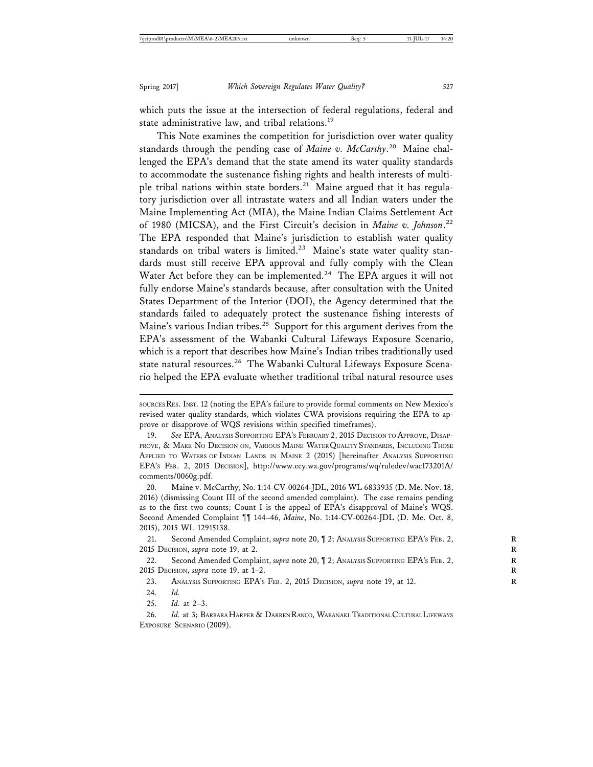which puts the issue at the intersection of federal regulations, federal and state administrative law, and tribal relations.<sup>19</sup>

This Note examines the competition for jurisdiction over water quality standards through the pending case of *Maine v. McCarthy*. 20 Maine challenged the EPA's demand that the state amend its water quality standards to accommodate the sustenance fishing rights and health interests of multiple tribal nations within state borders.<sup>21</sup> Maine argued that it has regulatory jurisdiction over all intrastate waters and all Indian waters under the Maine Implementing Act (MIA), the Maine Indian Claims Settlement Act of 1980 (MICSA), and the First Circuit's decision in *Maine v. Johnson*. 22 The EPA responded that Maine's jurisdiction to establish water quality standards on tribal waters is limited.<sup>23</sup> Maine's state water quality standards must still receive EPA approval and fully comply with the Clean Water Act before they can be implemented.<sup>24</sup> The EPA argues it will not fully endorse Maine's standards because, after consultation with the United States Department of the Interior (DOI), the Agency determined that the standards failed to adequately protect the sustenance fishing interests of Maine's various Indian tribes.<sup>25</sup> Support for this argument derives from the EPA's assessment of the Wabanki Cultural Lifeways Exposure Scenario, which is a report that describes how Maine's Indian tribes traditionally used state natural resources.<sup>26</sup> The Wabanki Cultural Lifeways Exposure Scenario helped the EPA evaluate whether traditional tribal natural resource uses

20. Maine v. McCarthy, No. 1:14-CV-00264-JDL, 2016 WL 6833935 (D. Me. Nov. 18, 2016) (dismissing Count III of the second amended complaint). The case remains pending as to the first two counts; Count I is the appeal of EPA's disapproval of Maine's WQS. Second Amended Complaint ¶¶ 144–46, *Maine*, No. 1:14-CV-00264-JDL (D. Me. Oct. 8, 2015), 2015 WL 12915138.

21. Second Amended Complaint, *supra* note 20, 12; ANALYSIS SUPPORTING EPA's FEB. 2, 2015 DECISION, *supra* note 19, at 2. **R**

22. Second Amended Complaint, *supra* note 20, 1 2; ANALYSIS SUPPORTING EPA's FEB. 2, 2015 DECISION, *supra* note 19, at 1–2. **R**

23. ANALYSIS SUPPORTING EPA's FEB. 2, 2015 DECISION, *supra* note 19, at 12.

24. *Id.*

25. *Id.* at 2–3.

26. *Id.* at 3; BARBARA HARPER & DARREN RANCO, WABANAKI TRADITIONAL CULTURAL LIFEWAYS EXPOSURE SCENARIO (2009).

SOURCES RES. INST. 12 (noting the EPA's failure to provide formal comments on New Mexico's revised water quality standards, which violates CWA provisions requiring the EPA to approve or disapprove of WQS revisions within specified timeframes).

<sup>19.</sup> *See* EPA, ANALYSIS SUPPORTING EPA'S FEBRUARY 2, 2015 DECISION TO APPROVE, DISAP-PROVE, & MAKE NO DECISION ON, VARIOUS MAINE WATER QUALITY STANDARDS, INCLUDING THOSE APPLIED TO WATERS OF INDIAN LANDS IN MAINE 2 (2015) [hereinafter ANALYSIS SUPPORTING EPA'S FEB. 2, 2015 DECISION], http://www.ecy.wa.gov/programs/wq/ruledev/wac173201A/ comments/0060g.pdf.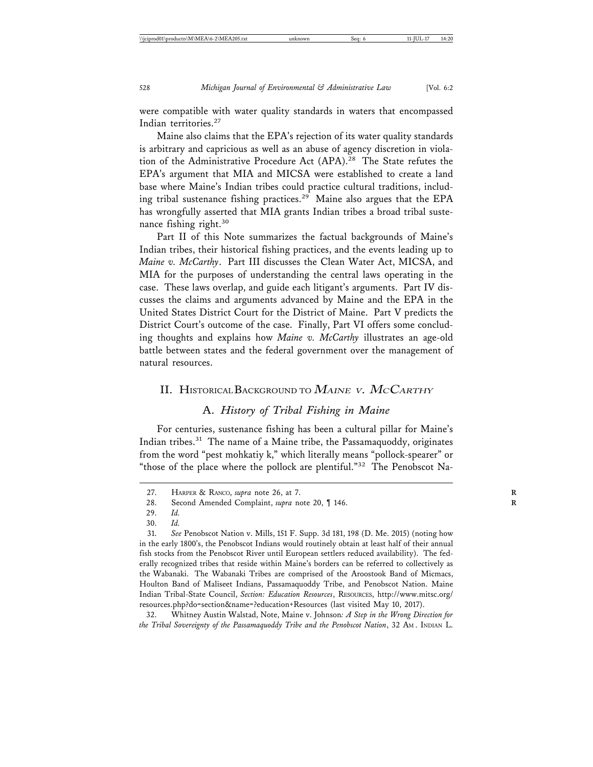were compatible with water quality standards in waters that encompassed Indian territories.<sup>27</sup>

Maine also claims that the EPA's rejection of its water quality standards is arbitrary and capricious as well as an abuse of agency discretion in violation of the Administrative Procedure Act (APA).<sup>28</sup> The State refutes the EPA's argument that MIA and MICSA were established to create a land base where Maine's Indian tribes could practice cultural traditions, including tribal sustenance fishing practices.29 Maine also argues that the EPA has wrongfully asserted that MIA grants Indian tribes a broad tribal sustenance fishing right.<sup>30</sup>

Part II of this Note summarizes the factual backgrounds of Maine's Indian tribes, their historical fishing practices, and the events leading up to *Maine v. McCarthy*. Part III discusses the Clean Water Act, MICSA, and MIA for the purposes of understanding the central laws operating in the case. These laws overlap, and guide each litigant's arguments. Part IV discusses the claims and arguments advanced by Maine and the EPA in the United States District Court for the District of Maine. Part V predicts the District Court's outcome of the case. Finally, Part VI offers some concluding thoughts and explains how *Maine v. McCarthy* illustrates an age-old battle between states and the federal government over the management of natural resources.

#### II. HISTORICAL BACKGROUND TO  $M$ aine v. McCarthy

#### A. *History of Tribal Fishing in Maine*

For centuries, sustenance fishing has been a cultural pillar for Maine's Indian tribes. $31$  The name of a Maine tribe, the Passamaquoddy, originates from the word "pest mohkatiy k," which literally means "pollock-spearer" or "those of the place where the pollock are plentiful."<sup>32</sup> The Penobscot Na-

<sup>27.</sup> HARPER & RANCO, *supra* note 26, at 7. **R**

<sup>28.</sup> Second Amended Complaint, *supra* note 20, ¶ 146. **R**

<sup>29.</sup> *Id.*

<sup>30.</sup> *Id.*

<sup>31.</sup> *See* Penobscot Nation v. Mills, 151 F. Supp. 3d 181, 198 (D. Me. 2015) (noting how in the early 1800's, the Penobscot Indians would routinely obtain at least half of their annual fish stocks from the Penobscot River until European settlers reduced availability). The federally recognized tribes that reside within Maine's borders can be referred to collectively as the Wabanaki. The Wabanaki Tribes are comprised of the Aroostook Band of Micmacs, Houlton Band of Maliseet Indians, Passamaquoddy Tribe, and Penobscot Nation. Maine Indian Tribal-State Council, *Section: Education Resources*, RESOURCES, http://www.mitsc.org/ resources.php?do=section&name=?education+Resources (last visited May 10, 2017).

<sup>32.</sup> Whitney Austin Walstad, Note, Maine v. Johnson*: A Step in the Wrong Direction for the Tribal Sovereignty of the Passamaquoddy Tribe and the Penobscot Nation*, 32 AM . INDIAN L.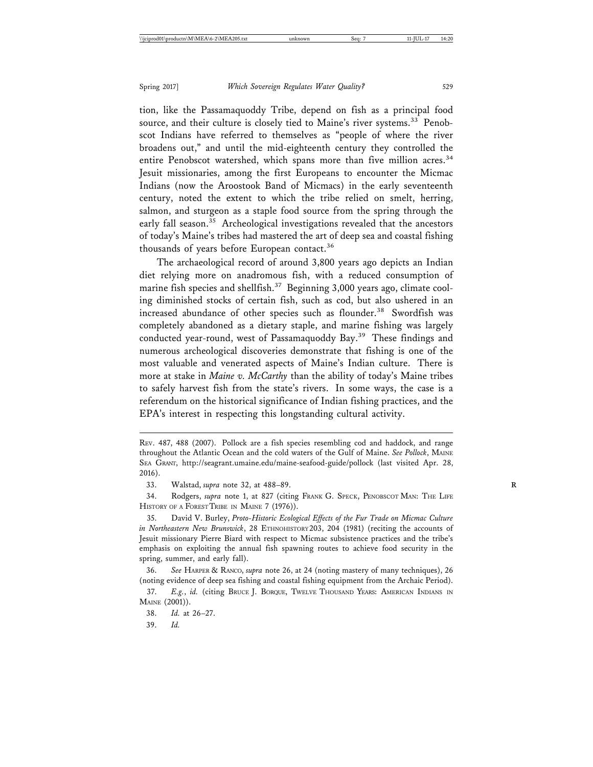tion, like the Passamaquoddy Tribe, depend on fish as a principal food source, and their culture is closely tied to Maine's river systems.<sup>33</sup> Penobscot Indians have referred to themselves as "people of where the river broadens out," and until the mid-eighteenth century they controlled the entire Penobscot watershed, which spans more than five million acres.<sup>34</sup> Jesuit missionaries, among the first Europeans to encounter the Micmac Indians (now the Aroostook Band of Micmacs) in the early seventeenth century, noted the extent to which the tribe relied on smelt, herring, salmon, and sturgeon as a staple food source from the spring through the early fall season.<sup>35</sup> Archeological investigations revealed that the ancestors of today's Maine's tribes had mastered the art of deep sea and coastal fishing thousands of years before European contact.<sup>36</sup>

The archaeological record of around 3,800 years ago depicts an Indian diet relying more on anadromous fish, with a reduced consumption of marine fish species and shellfish.<sup>37</sup> Beginning 3,000 years ago, climate cooling diminished stocks of certain fish, such as cod, but also ushered in an increased abundance of other species such as flounder.<sup>38</sup> Swordfish was completely abandoned as a dietary staple, and marine fishing was largely conducted year-round, west of Passamaquoddy Bay.<sup>39</sup> These findings and numerous archeological discoveries demonstrate that fishing is one of the most valuable and venerated aspects of Maine's Indian culture. There is more at stake in *Maine v. McCarthy* than the ability of today's Maine tribes to safely harvest fish from the state's rivers. In some ways, the case is a referendum on the historical significance of Indian fishing practices, and the EPA's interest in respecting this longstanding cultural activity.

34. Rodgers, *supra* note 1, at 827 (citing FRANK G. SPECK, PENOBSCOT MAN: THE LIFE HISTORY OF A FOREST TRIBE IN MAINE 7 (1976)).

REV. 487, 488 (2007). Pollock are a fish species resembling cod and haddock, and range throughout the Atlantic Ocean and the cold waters of the Gulf of Maine. *See Pollock*, MAINE SEA GRANT, http://seagrant.umaine.edu/maine-seafood-guide/pollock (last visited Apr. 28, 2016).

<sup>33.</sup> Walstad, *supra* note 32, at 488–89. **R**

<sup>35.</sup> David V. Burley, *Proto-Historic Ecological Effects of the Fur Trade on Micmac Culture in Northeastern New Brunswick*, 28 ETHNOHISTORY 203, 204 (1981) (reciting the accounts of Jesuit missionary Pierre Biard with respect to Micmac subsistence practices and the tribe's emphasis on exploiting the annual fish spawning routes to achieve food security in the spring, summer, and early fall).

<sup>36.</sup> *See* HARPER & RANCO, *supra* note 26, at 24 (noting mastery of many techniques), 26 (noting evidence of deep sea fishing and coastal fishing equipment from the Archaic Period).

<sup>37.</sup> *E.g.*, *id.* (citing BRUCE J. BORQUE, TWELVE THOUSAND YEARS: AMERICAN INDIANS IN MAINE (2001)).

<sup>38.</sup> *Id.* at 26–27.

<sup>39.</sup> *Id.*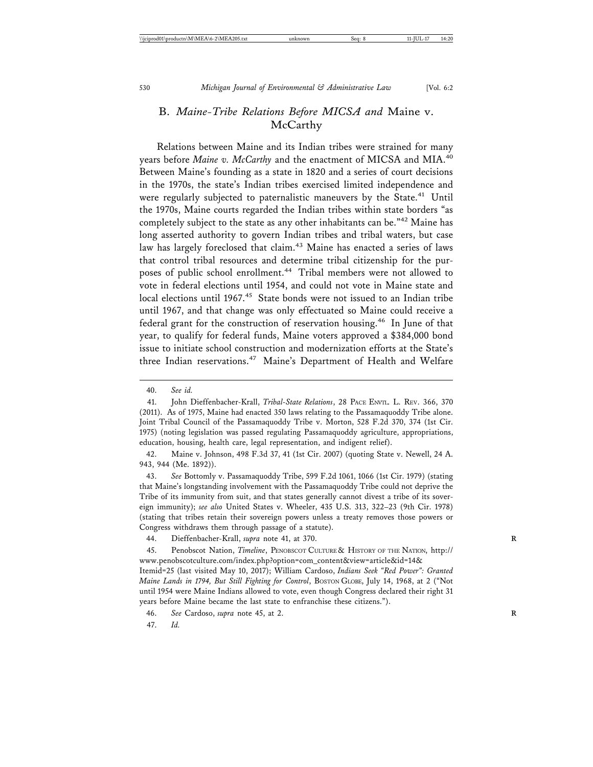## B. *Maine-Tribe Relations Before MICSA and* Maine v. **McCarthy**

Relations between Maine and its Indian tribes were strained for many years before *Maine v. McCarthy* and the enactment of MICSA and MIA.<sup>40</sup> Between Maine's founding as a state in 1820 and a series of court decisions in the 1970s, the state's Indian tribes exercised limited independence and were regularly subjected to paternalistic maneuvers by the State.<sup>41</sup> Until the 1970s, Maine courts regarded the Indian tribes within state borders "as completely subject to the state as any other inhabitants can be."42 Maine has long asserted authority to govern Indian tribes and tribal waters, but case law has largely foreclosed that claim.<sup>43</sup> Maine has enacted a series of laws that control tribal resources and determine tribal citizenship for the purposes of public school enrollment.<sup>44</sup> Tribal members were not allowed to vote in federal elections until 1954, and could not vote in Maine state and local elections until 1967.<sup>45</sup> State bonds were not issued to an Indian tribe until 1967, and that change was only effectuated so Maine could receive a federal grant for the construction of reservation housing.<sup>46</sup> In June of that year, to qualify for federal funds, Maine voters approved a \$384,000 bond issue to initiate school construction and modernization efforts at the State's three Indian reservations.<sup>47</sup> Maine's Department of Health and Welfare

42. Maine v. Johnson, 498 F.3d 37, 41 (1st Cir. 2007) (quoting State v. Newell, 24 A. 943, 944 (Me. 1892)).

43. *See* Bottomly v. Passamaquoddy Tribe, 599 F.2d 1061, 1066 (1st Cir. 1979) (stating that Maine's longstanding involvement with the Passamaquoddy Tribe could not deprive the Tribe of its immunity from suit, and that states generally cannot divest a tribe of its sovereign immunity); *see also* United States v. Wheeler, 435 U.S. 313, 322–23 (9th Cir. 1978) (stating that tribes retain their sovereign powers unless a treaty removes those powers or Congress withdraws them through passage of a statute).

44. Dieffenbacher-Krall, *supra* note 41, at 370. **R**

45. Penobscot Nation, *Timeline*, PENOBSCOT CULTURE & HISTORY OF THE NATION, http:// www.penobscotculture.com/index.php?option=com\_content&view=article&id=14&

Itemid=25 (last visited May 10, 2017); William Cardoso, *Indians Seek "Red Power": Granted Maine Lands in 1794, But Still Fighting for Control*, BOSTON GLOBE, July 14, 1968, at 2 ("Not until 1954 were Maine Indians allowed to vote, even though Congress declared their right 31 years before Maine became the last state to enfranchise these citizens.").

47. *Id.*

<sup>40.</sup> *See id.*

<sup>41.</sup> John Dieffenbacher-Krall, *Tribal-State Relations*, 28 PACE ENVTL. L. REV. 366, 370 (2011). As of 1975, Maine had enacted 350 laws relating to the Passamaquoddy Tribe alone. Joint Tribal Council of the Passamaquoddy Tribe v. Morton, 528 F.2d 370, 374 (1st Cir. 1975) (noting legislation was passed regulating Passamaquoddy agriculture, appropriations, education, housing, health care, legal representation, and indigent relief).

<sup>46.</sup> *See* Cardoso, *supra* note 45, at 2. **R**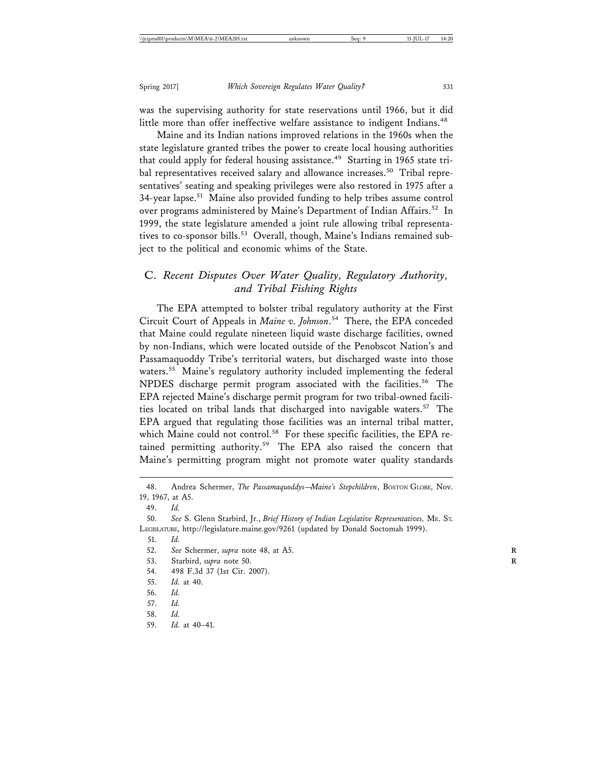was the supervising authority for state reservations until 1966, but it did little more than offer ineffective welfare assistance to indigent Indians.<sup>48</sup>

Maine and its Indian nations improved relations in the 1960s when the state legislature granted tribes the power to create local housing authorities that could apply for federal housing assistance.<sup>49</sup> Starting in 1965 state tribal representatives received salary and allowance increases.<sup>50</sup> Tribal representatives' seating and speaking privileges were also restored in 1975 after a 34-year lapse.<sup>51</sup> Maine also provided funding to help tribes assume control over programs administered by Maine's Department of Indian Affairs.<sup>52</sup> In 1999, the state legislature amended a joint rule allowing tribal representatives to co-sponsor bills.<sup>53</sup> Overall, though, Maine's Indians remained subject to the political and economic whims of the State.

## C. *Recent Disputes Over Water Quality, Regulatory Authority, and Tribal Fishing Rights*

The EPA attempted to bolster tribal regulatory authority at the First Circuit Court of Appeals in *Maine v. Johnson*. 54 There, the EPA conceded that Maine could regulate nineteen liquid waste discharge facilities, owned by non-Indians, which were located outside of the Penobscot Nation's and Passamaquoddy Tribe's territorial waters, but discharged waste into those waters.<sup>55</sup> Maine's regulatory authority included implementing the federal NPDES discharge permit program associated with the facilities.<sup>56</sup> The EPA rejected Maine's discharge permit program for two tribal-owned facilities located on tribal lands that discharged into navigable waters.<sup>57</sup> The EPA argued that regulating those facilities was an internal tribal matter, which Maine could not control.<sup>58</sup> For these specific facilities, the EPA retained permitting authority.59 The EPA also raised the concern that Maine's permitting program might not promote water quality standards

- 51. *Id.*
- 52. *See* Schermer, *supra* note 48, at A5. **R**
- 53. Starbird, *supra* note 50. **R**
- 54. 498 F.3d 37 (1st Cir. 2007).
- 55. *Id.* at 40.
- 56. *Id.*
- 57. *Id.*
- 58. *Id.*
- 59. *Id.* at 40–41.

<sup>48.</sup> Andrea Schermer, *The Passamaquoddys-Maine's Stepchildren*, BOSTON GLOBE, Nov. 19, 1967, at A5.

<sup>49.</sup> *Id.*

<sup>50.</sup> *See* S. Glenn Starbird, Jr., *Brief History of Indian Legislative Representatives,* ME. ST. LEGISLATURE, http://legislature.maine.gov/9261 (updated by Donald Soctomah 1999).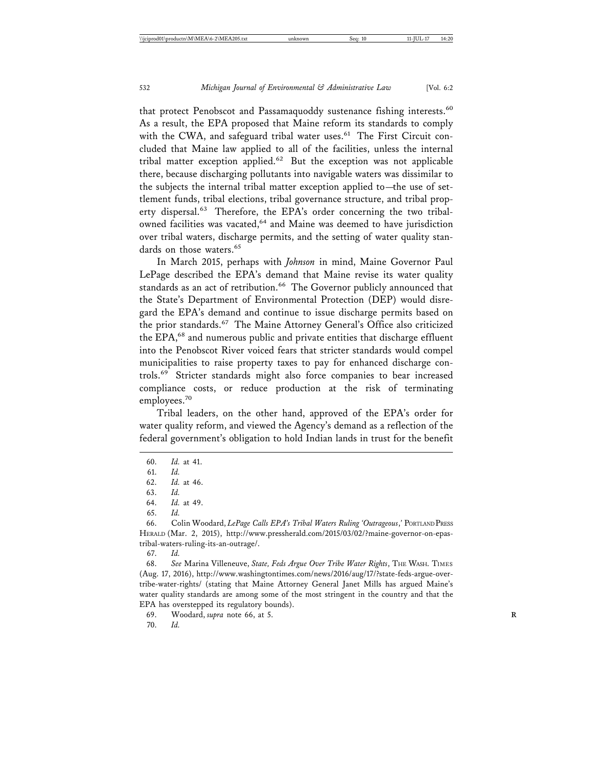that protect Penobscot and Passamaquoddy sustenance fishing interests.<sup>60</sup> As a result, the EPA proposed that Maine reform its standards to comply with the CWA, and safeguard tribal water uses.<sup>61</sup> The First Circuit concluded that Maine law applied to all of the facilities, unless the internal tribal matter exception applied.62 But the exception was not applicable there, because discharging pollutants into navigable waters was dissimilar to the subjects the internal tribal matter exception applied to—the use of settlement funds, tribal elections, tribal governance structure, and tribal property dispersal.<sup>63</sup> Therefore, the EPA's order concerning the two tribalowned facilities was vacated,<sup>64</sup> and Maine was deemed to have jurisdiction over tribal waters, discharge permits, and the setting of water quality standards on those waters.<sup>65</sup>

In March 2015, perhaps with *Johnson* in mind, Maine Governor Paul LePage described the EPA's demand that Maine revise its water quality standards as an act of retribution.<sup>66</sup> The Governor publicly announced that the State's Department of Environmental Protection (DEP) would disregard the EPA's demand and continue to issue discharge permits based on the prior standards.<sup>67</sup> The Maine Attorney General's Office also criticized the EPA,<sup>68</sup> and numerous public and private entities that discharge effluent into the Penobscot River voiced fears that stricter standards would compel municipalities to raise property taxes to pay for enhanced discharge controls.69 Stricter standards might also force companies to bear increased compliance costs, or reduce production at the risk of terminating employees.<sup>70</sup>

Tribal leaders, on the other hand, approved of the EPA's order for water quality reform, and viewed the Agency's demand as a reflection of the federal government's obligation to hold Indian lands in trust for the benefit

66. Colin Woodard, *LePage Calls EPA's Tribal Waters Ruling 'Outrageous*,*'* PORTLAND PRESS HERALD (Mar. 2, 2015), http://www.pressherald.com/2015/03/02/?maine-governor-on-epastribal-waters-ruling-its-an-outrage/.

67. *Id.*

68. *See* Marina Villeneuve, *State, Feds Argue Over Tribe Water Rights*, THE WASH. TIMES (Aug. 17, 2016), http://www.washingtontimes.com/news/2016/aug/17/?state-feds-argue-overtribe-water-rights/ (stating that Maine Attorney General Janet Mills has argued Maine's water quality standards are among some of the most stringent in the country and that the EPA has overstepped its regulatory bounds).

69. Woodard, *supra* note 66, at 5. **R**

70. *Id.*

<sup>60.</sup> *Id.* at 41.

<sup>61.</sup> *Id.*

<sup>62.</sup> *Id.* at 46.

<sup>63.</sup> *Id.*

<sup>64.</sup> *Id.* at 49.

<sup>65.</sup> *Id.*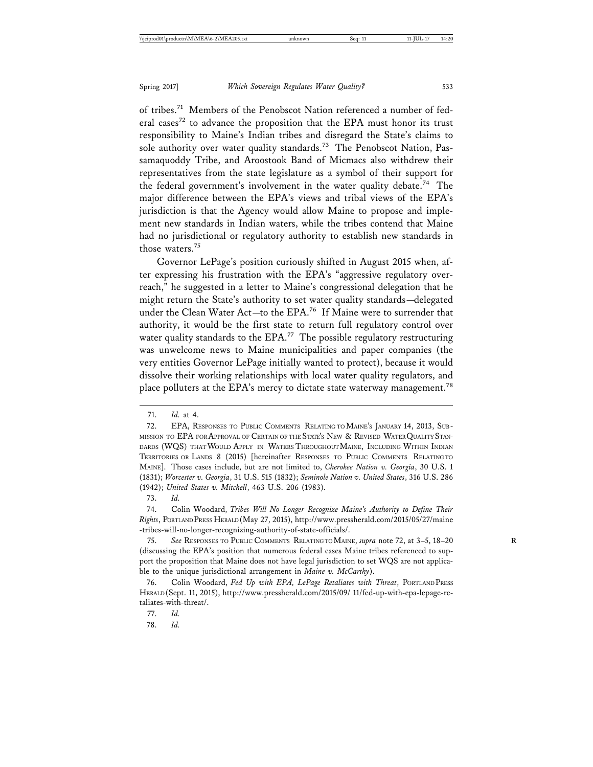of tribes.<sup>71</sup> Members of the Penobscot Nation referenced a number of federal cases<sup>72</sup> to advance the proposition that the EPA must honor its trust responsibility to Maine's Indian tribes and disregard the State's claims to sole authority over water quality standards.<sup>73</sup> The Penobscot Nation, Passamaquoddy Tribe, and Aroostook Band of Micmacs also withdrew their representatives from the state legislature as a symbol of their support for the federal government's involvement in the water quality debate.<sup>74</sup> The major difference between the EPA's views and tribal views of the EPA's jurisdiction is that the Agency would allow Maine to propose and implement new standards in Indian waters, while the tribes contend that Maine had no jurisdictional or regulatory authority to establish new standards in those waters.<sup>75</sup>

Governor LePage's position curiously shifted in August 2015 when, after expressing his frustration with the EPA's "aggressive regulatory overreach," he suggested in a letter to Maine's congressional delegation that he might return the State's authority to set water quality standards—delegated under the Clean Water Act-to the EPA.<sup>76</sup> If Maine were to surrender that authority, it would be the first state to return full regulatory control over water quality standards to the EPA.<sup>77</sup> The possible regulatory restructuring was unwelcome news to Maine municipalities and paper companies (the very entities Governor LePage initially wanted to protect), because it would dissolve their working relationships with local water quality regulators, and place polluters at the EPA's mercy to dictate state waterway management.<sup>78</sup>

78. *Id.*

<sup>71.</sup> *Id.* at 4.

<sup>72.</sup> EPA, RESPONSES TO PUBLIC COMMENTS RELATING TO MAINE'S JANUARY 14, 2013, SUB-MISSION TO EPA FOR APPROVAL OF CERTAIN OF THE STATE'S NEW & REVISED WATER QUALITY STAN-DARDS (WQS) THAT WOULD APPLY IN WATERS THROUGHOUT MAINE, INCLUDING WITHIN INDIAN TERRITORIES OR LANDS 8 (2015) [hereinafter RESPONSES TO PUBLIC COMMENTS RELATING TO MAINE]. Those cases include, but are not limited to, *Cherokee Nation v. Georgia*, 30 U.S. 1 (1831); *Worcester v. Georgia*, 31 U.S. 515 (1832); *Seminole Nation v. United States*, 316 U.S. 286 (1942); *United States v. Mitchell*, 463 U.S. 206 (1983).

<sup>73.</sup> *Id.*

<sup>74.</sup> Colin Woodard, *Tribes Will No Longer Recognize Maine's Authority to Define Their Rights*, PORTLAND PRESS HERALD (May 27, 2015), http://www.pressherald.com/2015/05/27/maine -tribes-will-no-longer-recognizing-authority-of-state-officials/.

<sup>75.</sup> *See* RESPONSES TO PUBLIC COMMENTS RELATING TO MAINE, *supra* note 72, at 3–5, 18–20 **R** (discussing the EPA's position that numerous federal cases Maine tribes referenced to support the proposition that Maine does not have legal jurisdiction to set WQS are not applicable to the unique jurisdictional arrangement in *Maine v. McCarthy*).

<sup>76.</sup> Colin Woodard, *Fed Up with EPA, LePage Retaliates with Threat*, PORTLAND PRESS HERALD (Sept. 11, 2015), http://www.pressherald.com/2015/09/ 11/fed-up-with-epa-lepage-retaliates-with-threat/.

<sup>77.</sup> *Id.*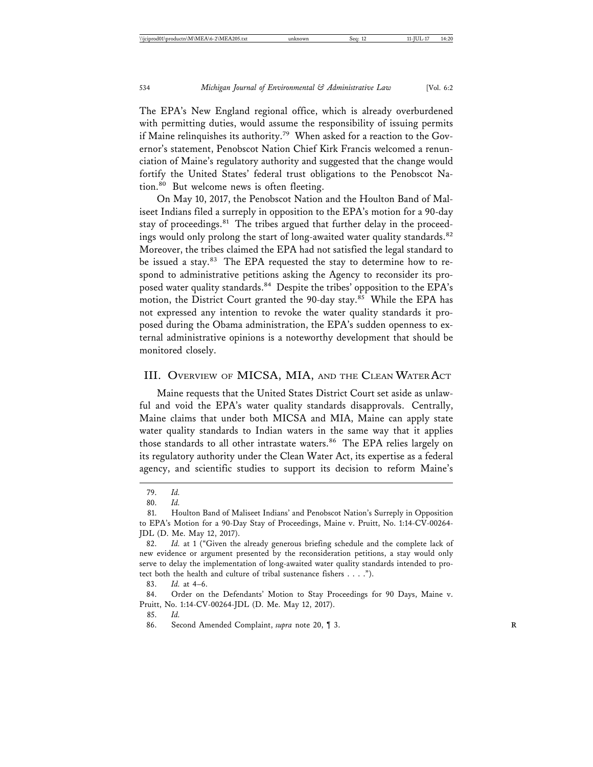The EPA's New England regional office, which is already overburdened with permitting duties, would assume the responsibility of issuing permits if Maine relinquishes its authority.<sup>79</sup> When asked for a reaction to the Governor's statement, Penobscot Nation Chief Kirk Francis welcomed a renunciation of Maine's regulatory authority and suggested that the change would fortify the United States' federal trust obligations to the Penobscot Nation.80 But welcome news is often fleeting.

On May 10, 2017, the Penobscot Nation and the Houlton Band of Maliseet Indians filed a surreply in opposition to the EPA's motion for a 90-day stay of proceedings.<sup>81</sup> The tribes argued that further delay in the proceedings would only prolong the start of long-awaited water quality standards.<sup>82</sup> Moreover, the tribes claimed the EPA had not satisfied the legal standard to be issued a stay.<sup>83</sup> The EPA requested the stay to determine how to respond to administrative petitions asking the Agency to reconsider its proposed water quality standards.<sup>84</sup> Despite the tribes' opposition to the EPA's motion, the District Court granted the 90-day stay.<sup>85</sup> While the EPA has not expressed any intention to revoke the water quality standards it proposed during the Obama administration, the EPA's sudden openness to external administrative opinions is a noteworthy development that should be monitored closely.

#### III. OVERVIEW OF MICSA, MIA, AND THE CLEAN WATER ACT

Maine requests that the United States District Court set aside as unlawful and void the EPA's water quality standards disapprovals. Centrally, Maine claims that under both MICSA and MIA, Maine can apply state water quality standards to Indian waters in the same way that it applies those standards to all other intrastate waters.<sup>86</sup> The EPA relies largely on its regulatory authority under the Clean Water Act, its expertise as a federal agency, and scientific studies to support its decision to reform Maine's

<sup>79.</sup> *Id.*

<sup>80.</sup> *Id.*

<sup>81.</sup> Houlton Band of Maliseet Indians' and Penobscot Nation's Surreply in Opposition to EPA's Motion for a 90-Day Stay of Proceedings, Maine v. Pruitt, No. 1:14-CV-00264- JDL (D. Me. May 12, 2017).

<sup>82.</sup> *Id.* at 1 ("Given the already generous briefing schedule and the complete lack of new evidence or argument presented by the reconsideration petitions, a stay would only serve to delay the implementation of long-awaited water quality standards intended to protect both the health and culture of tribal sustenance fishers . . . .").

<sup>83.</sup> *Id.* at 4–6.

<sup>84.</sup> Order on the Defendants' Motion to Stay Proceedings for 90 Days, Maine v. Pruitt, No. 1:14-CV-00264-JDL (D. Me. May 12, 2017).

<sup>85.</sup> *Id.*

<sup>86.</sup> Second Amended Complaint, *supra* note 20, ¶ 3. **R**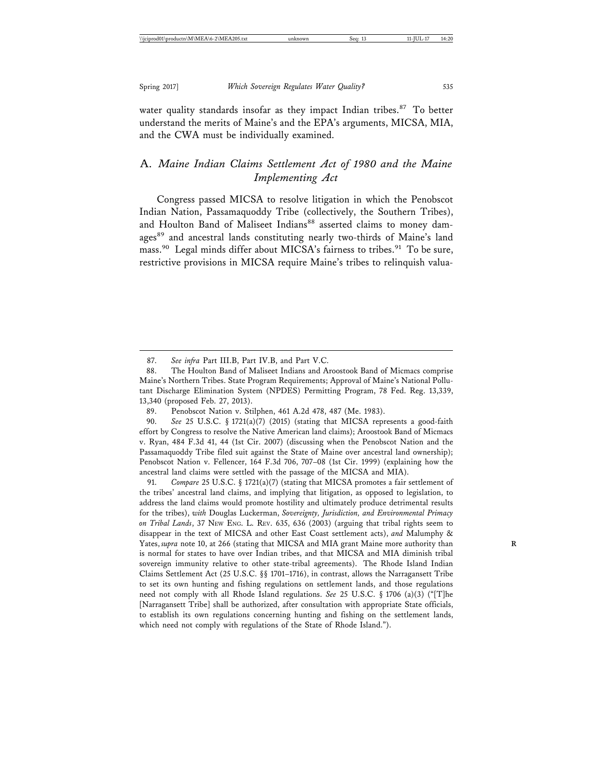water quality standards insofar as they impact Indian tribes.<sup>87</sup> To better understand the merits of Maine's and the EPA's arguments, MICSA, MIA, and the CWA must be individually examined.

## A. *Maine Indian Claims Settlement Act of 1980 and the Maine Implementing Act*

Congress passed MICSA to resolve litigation in which the Penobscot Indian Nation, Passamaquoddy Tribe (collectively, the Southern Tribes), and Houlton Band of Maliseet Indians<sup>88</sup> asserted claims to money damages<sup>89</sup> and ancestral lands constituting nearly two-thirds of Maine's land mass.<sup>90</sup> Legal minds differ about MICSA's fairness to tribes.<sup>91</sup> To be sure, restrictive provisions in MICSA require Maine's tribes to relinquish valua-

91. *Compare* 25 U.S.C. § 1721(a)(7) (stating that MICSA promotes a fair settlement of the tribes' ancestral land claims, and implying that litigation, as opposed to legislation, to address the land claims would promote hostility and ultimately produce detrimental results for the tribes), *with* Douglas Luckerman, *Sovereignty, Jurisdiction, and Environmental Primacy on Tribal Lands*, 37 NEW ENG. L. REV. 635, 636 (2003) (arguing that tribal rights seem to disappear in the text of MICSA and other East Coast settlement acts), *and* Malumphy & Yates, *supra* note 10, at 266 (stating that MICSA and MIA grant Maine more authority than **R** is normal for states to have over Indian tribes, and that MICSA and MIA diminish tribal sovereign immunity relative to other state-tribal agreements). The Rhode Island Indian Claims Settlement Act (25 U.S.C. §§ 1701–1716), in contrast, allows the Narragansett Tribe to set its own hunting and fishing regulations on settlement lands, and those regulations need not comply with all Rhode Island regulations. *See* 25 U.S.C. § 1706 (a)(3) ("[T]he [Narragansett Tribe] shall be authorized, after consultation with appropriate State officials, to establish its own regulations concerning hunting and fishing on the settlement lands, which need not comply with regulations of the State of Rhode Island.").

<sup>87.</sup> *See infra* Part III.B, Part IV.B, and Part V.C.

<sup>88.</sup> The Houlton Band of Maliseet Indians and Aroostook Band of Micmacs comprise Maine's Northern Tribes. State Program Requirements; Approval of Maine's National Pollutant Discharge Elimination System (NPDES) Permitting Program, 78 Fed. Reg. 13,339, 13,340 (proposed Feb. 27, 2013).

<sup>89.</sup> Penobscot Nation v. Stilphen, 461 A.2d 478, 487 (Me. 1983).

<sup>90.</sup> *See* 25 U.S.C. § 1721(a)(7) (2015) (stating that MICSA represents a good-faith effort by Congress to resolve the Native American land claims); Aroostook Band of Micmacs v. Ryan, 484 F.3d 41, 44 (1st Cir. 2007) (discussing when the Penobscot Nation and the Passamaquoddy Tribe filed suit against the State of Maine over ancestral land ownership); Penobscot Nation v. Fellencer, 164 F.3d 706, 707–08 (1st Cir. 1999) (explaining how the ancestral land claims were settled with the passage of the MICSA and MIA).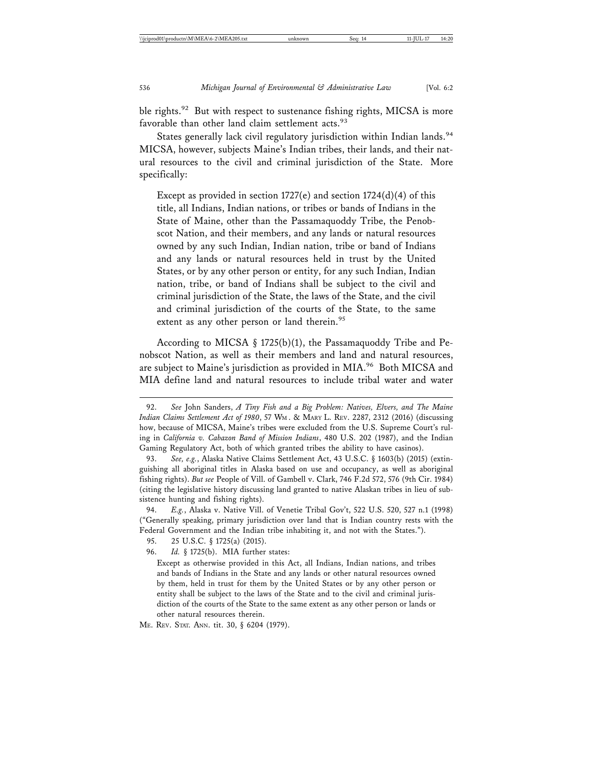ble rights.<sup>92</sup> But with respect to sustenance fishing rights, MICSA is more favorable than other land claim settlement acts.<sup>93</sup>

States generally lack civil regulatory jurisdiction within Indian lands.<sup>94</sup> MICSA, however, subjects Maine's Indian tribes, their lands, and their natural resources to the civil and criminal jurisdiction of the State. More specifically:

Except as provided in section  $1727(e)$  and section  $1724(d)(4)$  of this title, all Indians, Indian nations, or tribes or bands of Indians in the State of Maine, other than the Passamaquoddy Tribe, the Penobscot Nation, and their members, and any lands or natural resources owned by any such Indian, Indian nation, tribe or band of Indians and any lands or natural resources held in trust by the United States, or by any other person or entity, for any such Indian, Indian nation, tribe, or band of Indians shall be subject to the civil and criminal jurisdiction of the State, the laws of the State, and the civil and criminal jurisdiction of the courts of the State, to the same extent as any other person or land therein.<sup>95</sup>

According to MICSA § 1725(b)(1), the Passamaquoddy Tribe and Penobscot Nation, as well as their members and land and natural resources, are subject to Maine's jurisdiction as provided in MIA.<sup>96</sup> Both MICSA and MIA define land and natural resources to include tribal water and water

ME. REV. STAT. ANN. tit. 30, § 6204 (1979).

<sup>92.</sup> *See* John Sanders, *A Tiny Fish and a Big Problem: Natives, Elvers, and The Maine Indian Claims Settlement Act of 1980*, 57 WM . & MARY L. REV. 2287, 2312 (2016) (discussing how, because of MICSA, Maine's tribes were excluded from the U.S. Supreme Court's ruling in *California v. Cabazon Band of Mission Indians*, 480 U.S. 202 (1987), and the Indian Gaming Regulatory Act, both of which granted tribes the ability to have casinos).

<sup>93.</sup> *See, e.g.*, Alaska Native Claims Settlement Act, 43 U.S.C. § 1603(b) (2015) (extinguishing all aboriginal titles in Alaska based on use and occupancy, as well as aboriginal fishing rights). *But see* People of Vill. of Gambell v. Clark, 746 F.2d 572, 576 (9th Cir. 1984) (citing the legislative history discussing land granted to native Alaskan tribes in lieu of subsistence hunting and fishing rights).

<sup>94.</sup> *E.g.*, Alaska v. Native Vill. of Venetie Tribal Gov't, 522 U.S. 520, 527 n.1 (1998) ("Generally speaking, primary jurisdiction over land that is Indian country rests with the Federal Government and the Indian tribe inhabiting it, and not with the States.").

<sup>95. 25</sup> U.S.C. § 1725(a) (2015).

<sup>96.</sup> *Id.* § 1725(b). MIA further states:

Except as otherwise provided in this Act, all Indians, Indian nations, and tribes and bands of Indians in the State and any lands or other natural resources owned by them, held in trust for them by the United States or by any other person or entity shall be subject to the laws of the State and to the civil and criminal jurisdiction of the courts of the State to the same extent as any other person or lands or other natural resources therein.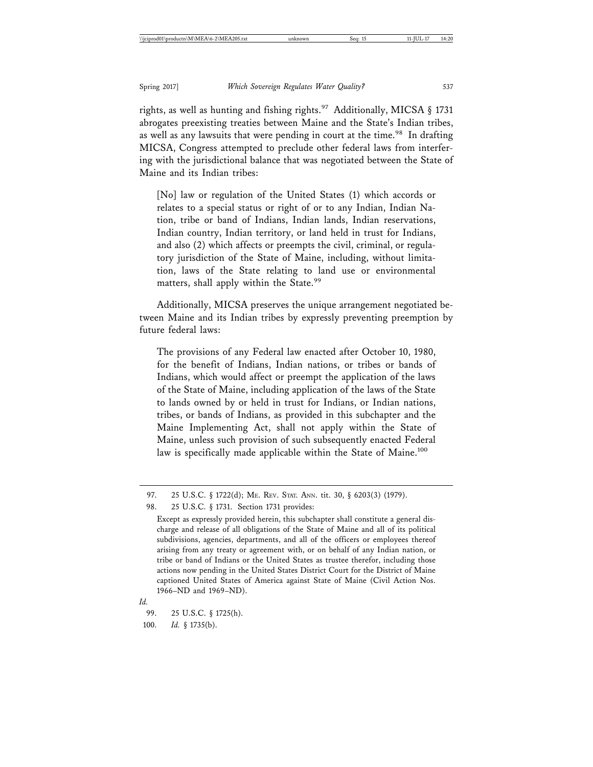rights, as well as hunting and fishing rights.<sup>97</sup> Additionally, MICSA § 1731 abrogates preexisting treaties between Maine and the State's Indian tribes, as well as any lawsuits that were pending in court at the time.<sup>98</sup> In drafting MICSA, Congress attempted to preclude other federal laws from interfering with the jurisdictional balance that was negotiated between the State of Maine and its Indian tribes:

[No] law or regulation of the United States (1) which accords or relates to a special status or right of or to any Indian, Indian Nation, tribe or band of Indians, Indian lands, Indian reservations, Indian country, Indian territory, or land held in trust for Indians, and also (2) which affects or preempts the civil, criminal, or regulatory jurisdiction of the State of Maine, including, without limitation, laws of the State relating to land use or environmental matters, shall apply within the State.<sup>99</sup>

Additionally, MICSA preserves the unique arrangement negotiated between Maine and its Indian tribes by expressly preventing preemption by future federal laws:

The provisions of any Federal law enacted after October 10, 1980, for the benefit of Indians, Indian nations, or tribes or bands of Indians, which would affect or preempt the application of the laws of the State of Maine, including application of the laws of the State to lands owned by or held in trust for Indians, or Indian nations, tribes, or bands of Indians, as provided in this subchapter and the Maine Implementing Act, shall not apply within the State of Maine, unless such provision of such subsequently enacted Federal law is specifically made applicable within the State of Maine.<sup>100</sup>

*Id.*

<sup>97. 25</sup> U.S.C. § 1722(d); ME. REV. STAT. ANN. tit. 30, § 6203(3) (1979).

<sup>98. 25</sup> U.S.C. § 1731. Section 1731 provides:

Except as expressly provided herein, this subchapter shall constitute a general discharge and release of all obligations of the State of Maine and all of its political subdivisions, agencies, departments, and all of the officers or employees thereof arising from any treaty or agreement with, or on behalf of any Indian nation, or tribe or band of Indians or the United States as trustee therefor, including those actions now pending in the United States District Court for the District of Maine captioned United States of America against State of Maine (Civil Action Nos. 1966–ND and 1969–ND).

<sup>99. 25</sup> U.S.C. § 1725(h).

<sup>100.</sup> *Id.* § 1735(b).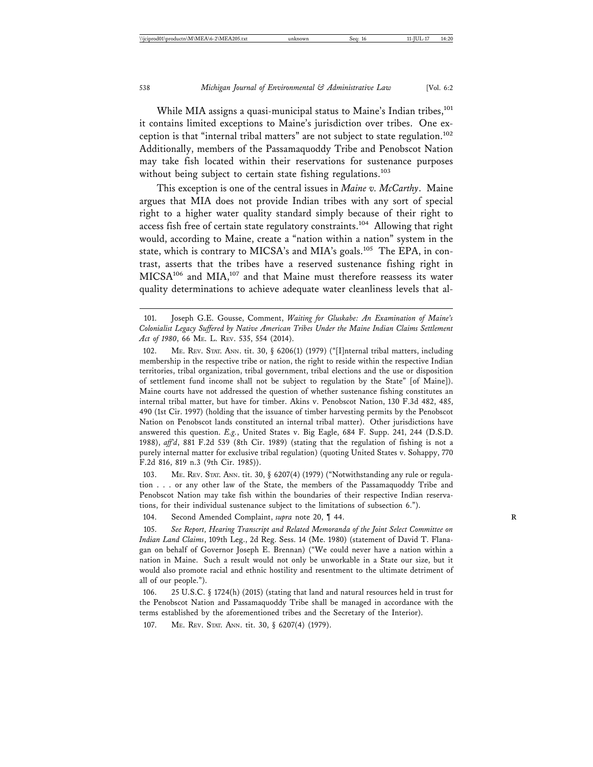While MIA assigns a quasi-municipal status to Maine's Indian tribes, $^{101}$ it contains limited exceptions to Maine's jurisdiction over tribes. One exception is that "internal tribal matters" are not subject to state regulation.<sup>102</sup> Additionally, members of the Passamaquoddy Tribe and Penobscot Nation may take fish located within their reservations for sustenance purposes without being subject to certain state fishing regulations.<sup>103</sup>

This exception is one of the central issues in *Maine v. McCarthy*. Maine argues that MIA does not provide Indian tribes with any sort of special right to a higher water quality standard simply because of their right to access fish free of certain state regulatory constraints.104 Allowing that right would, according to Maine, create a "nation within a nation" system in the state, which is contrary to MICSA's and MIA's goals.<sup>105</sup> The EPA, in contrast, asserts that the tribes have a reserved sustenance fishing right in MICSA<sup>106</sup> and MIA,<sup>107</sup> and that Maine must therefore reassess its water quality determinations to achieve adequate water cleanliness levels that al-

103. ME. REV. STAT. ANN. tit. 30, § 6207(4) (1979) ("Notwithstanding any rule or regulation . . . or any other law of the State, the members of the Passamaquoddy Tribe and Penobscot Nation may take fish within the boundaries of their respective Indian reservations, for their individual sustenance subject to the limitations of subsection 6.").

104. Second Amended Complaint, *supra* note 20, ¶ 44. **R**

105. *See Report, Hearing Transcript and Related Memoranda of the Joint Select Committee on Indian Land Claims*, 109th Leg., 2d Reg. Sess. 14 (Me. 1980) (statement of David T. Flanagan on behalf of Governor Joseph E. Brennan) ("We could never have a nation within a nation in Maine. Such a result would not only be unworkable in a State our size, but it would also promote racial and ethnic hostility and resentment to the ultimate detriment of all of our people.").

106. 25 U.S.C. § 1724(h) (2015) (stating that land and natural resources held in trust for the Penobscot Nation and Passamaquoddy Tribe shall be managed in accordance with the terms established by the aforementioned tribes and the Secretary of the Interior).

107. ME. REV. STAT. ANN. tit. 30, § 6207(4) (1979).

<sup>101.</sup> Joseph G.E. Gousse, Comment, *Waiting for Gluskabe: An Examination of Maine's Colonialist Legacy Suffered by Native American Tribes Under the Maine Indian Claims Settlement Act of 1980*, 66 ME. L. REV. 535, 554 (2014).

<sup>102.</sup> ME. REV. STAT. ANN. tit. 30, § 6206(1) (1979) ("[I]nternal tribal matters, including membership in the respective tribe or nation, the right to reside within the respective Indian territories, tribal organization, tribal government, tribal elections and the use or disposition of settlement fund income shall not be subject to regulation by the State" [of Maine]). Maine courts have not addressed the question of whether sustenance fishing constitutes an internal tribal matter, but have for timber. Akins v. Penobscot Nation, 130 F.3d 482, 485, 490 (1st Cir. 1997) (holding that the issuance of timber harvesting permits by the Penobscot Nation on Penobscot lands constituted an internal tribal matter). Other jurisdictions have answered this question. *E.g.*, United States v. Big Eagle, 684 F. Supp. 241, 244 (D.S.D. 1988), *aff'd*, 881 F.2d 539 (8th Cir. 1989) (stating that the regulation of fishing is not a purely internal matter for exclusive tribal regulation) (quoting United States v. Sohappy, 770 F.2d 816, 819 n.3 (9th Cir. 1985)).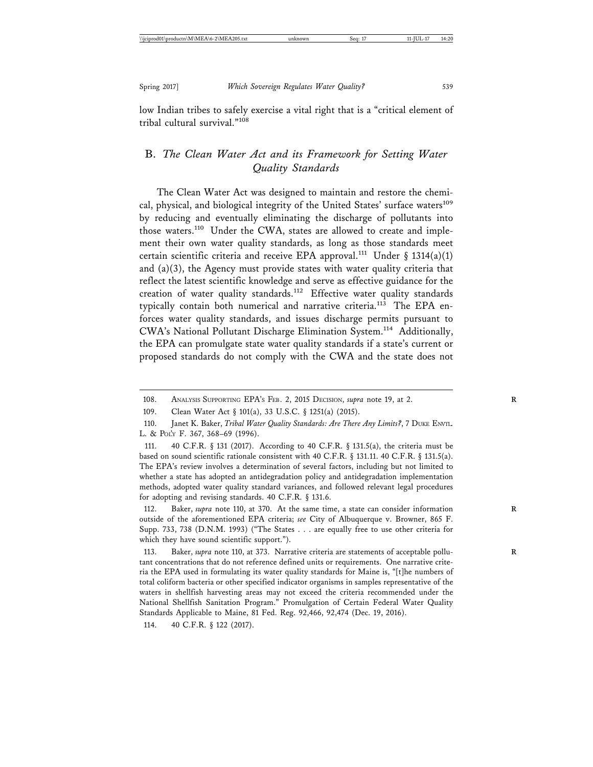low Indian tribes to safely exercise a vital right that is a "critical element of tribal cultural survival."<sup>108</sup>

## B. *The Clean Water Act and its Framework for Setting Water Quality Standards*

The Clean Water Act was designed to maintain and restore the chemical, physical, and biological integrity of the United States' surface waters<sup>109</sup> by reducing and eventually eliminating the discharge of pollutants into those waters.<sup>110</sup> Under the CWA, states are allowed to create and implement their own water quality standards, as long as those standards meet certain scientific criteria and receive EPA approval.<sup>111</sup> Under § 1314(a)(1) and (a)(3), the Agency must provide states with water quality criteria that reflect the latest scientific knowledge and serve as effective guidance for the creation of water quality standards.<sup>112</sup> Effective water quality standards typically contain both numerical and narrative criteria.<sup>113</sup> The EPA enforces water quality standards, and issues discharge permits pursuant to CWA's National Pollutant Discharge Elimination System.114 Additionally, the EPA can promulgate state water quality standards if a state's current or proposed standards do not comply with the CWA and the state does not

<sup>108.</sup> ANALYSIS SUPPORTING EPA'S FEB. 2, 2015 DECISION, *supra* note 19, at 2. **R**

<sup>109.</sup> Clean Water Act § 101(a), 33 U.S.C. § 1251(a) (2015).

<sup>110.</sup> Janet K. Baker, *Tribal Water Quality Standards: Are There Any Limits?*, 7 DUKE ENVIL. L. & POL'Y F. 367, 368–69 (1996).

<sup>111. 40</sup> C.F.R. § 131 (2017). According to 40 C.F.R. § 131.5(a), the criteria must be based on sound scientific rationale consistent with 40 C.F.R. § 131.11. 40 C.F.R. § 131.5(a). The EPA's review involves a determination of several factors, including but not limited to whether a state has adopted an antidegradation policy and antidegradation implementation methods, adopted water quality standard variances, and followed relevant legal procedures for adopting and revising standards. 40 C.F.R. § 131.6.

<sup>112.</sup> Baker, *supra* note 110, at 370. At the same time, a state can consider information **R** outside of the aforementioned EPA criteria; *see* City of Albuquerque v. Browner, 865 F. Supp. 733, 738 (D.N.M. 1993) ("The States . . . are equally free to use other criteria for which they have sound scientific support.").

<sup>113.</sup> Baker, *supra* note 110, at 373. Narrative criteria are statements of acceptable pollutant concentrations that do not reference defined units or requirements. One narrative criteria the EPA used in formulating its water quality standards for Maine is, "[t]he numbers of total coliform bacteria or other specified indicator organisms in samples representative of the waters in shellfish harvesting areas may not exceed the criteria recommended under the National Shellfish Sanitation Program." Promulgation of Certain Federal Water Quality Standards Applicable to Maine, 81 Fed. Reg. 92,466, 92,474 (Dec. 19, 2016).

<sup>114. 40</sup> C.F.R. § 122 (2017).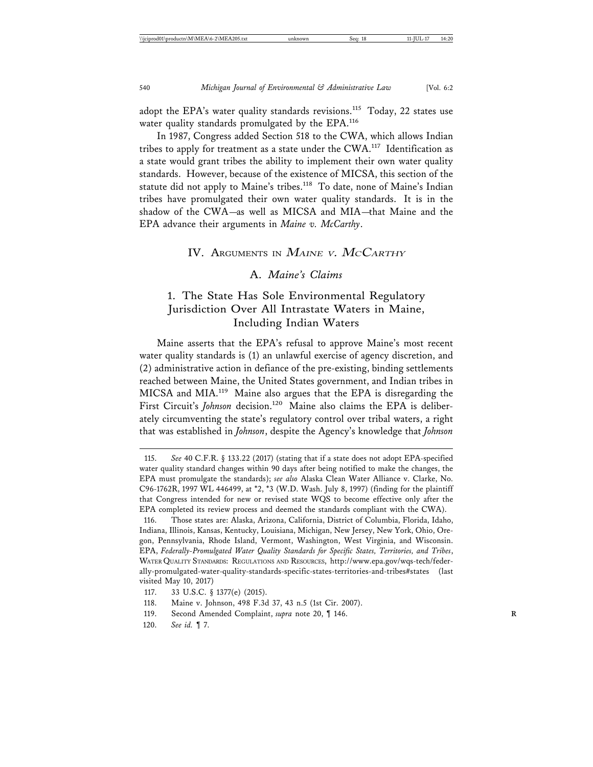adopt the EPA's water quality standards revisions.<sup>115</sup> Today, 22 states use water quality standards promulgated by the EPA.<sup>116</sup>

In 1987, Congress added Section 518 to the CWA, which allows Indian tribes to apply for treatment as a state under the CWA.<sup>117</sup> Identification as a state would grant tribes the ability to implement their own water quality standards. However, because of the existence of MICSA, this section of the statute did not apply to Maine's tribes.<sup>118</sup> To date, none of Maine's Indian tribes have promulgated their own water quality standards. It is in the shadow of the CWA—as well as MICSA and MIA—that Maine and the EPA advance their arguments in *Maine v. McCarthy*.

#### IV. ARGUMENTS IN MAINE V. MCCARTHY

#### A. *Maine's Claims*

## 1. The State Has Sole Environmental Regulatory Jurisdiction Over All Intrastate Waters in Maine, Including Indian Waters

Maine asserts that the EPA's refusal to approve Maine's most recent water quality standards is (1) an unlawful exercise of agency discretion, and (2) administrative action in defiance of the pre-existing, binding settlements reached between Maine, the United States government, and Indian tribes in MICSA and MIA.119 Maine also argues that the EPA is disregarding the First Circuit's *Johnson* decision.<sup>120</sup> Maine also claims the EPA is deliberately circumventing the state's regulatory control over tribal waters, a right that was established in *Johnson*, despite the Agency's knowledge that *Johnson*

<sup>115.</sup> *See* 40 C.F.R. § 133.22 (2017) (stating that if a state does not adopt EPA-specified water quality standard changes within 90 days after being notified to make the changes, the EPA must promulgate the standards); *see also* Alaska Clean Water Alliance v. Clarke, No. C96-1762R, 1997 WL 446499, at \*2, \*3 (W.D. Wash. July 8, 1997) (finding for the plaintiff that Congress intended for new or revised state WQS to become effective only after the EPA completed its review process and deemed the standards compliant with the CWA).

<sup>116.</sup> Those states are: Alaska, Arizona, California, District of Columbia, Florida, Idaho, Indiana, Illinois, Kansas, Kentucky, Louisiana, Michigan, New Jersey, New York, Ohio, Oregon, Pennsylvania, Rhode Island, Vermont, Washington, West Virginia, and Wisconsin. EPA, *Federally-Promulgated Water Quality Standards for Specific States, Territories, and Tribes*, WATER QUALITY STANDARDS: REGULATIONS AND RESOURCES, http://www.epa.gov/wqs-tech/federally-promulgated-water-quality-standards-specific-states-territories-and-tribes#states (last visited May 10, 2017)

<sup>117. 33</sup> U.S.C. § 1377(e) (2015).

<sup>118.</sup> Maine v. Johnson, 498 F.3d 37, 43 n.5 (1st Cir. 2007).

<sup>119.</sup> Second Amended Complaint, *supra* note 20, ¶ 146. **R**

<sup>120.</sup> *See id.* ¶ 7.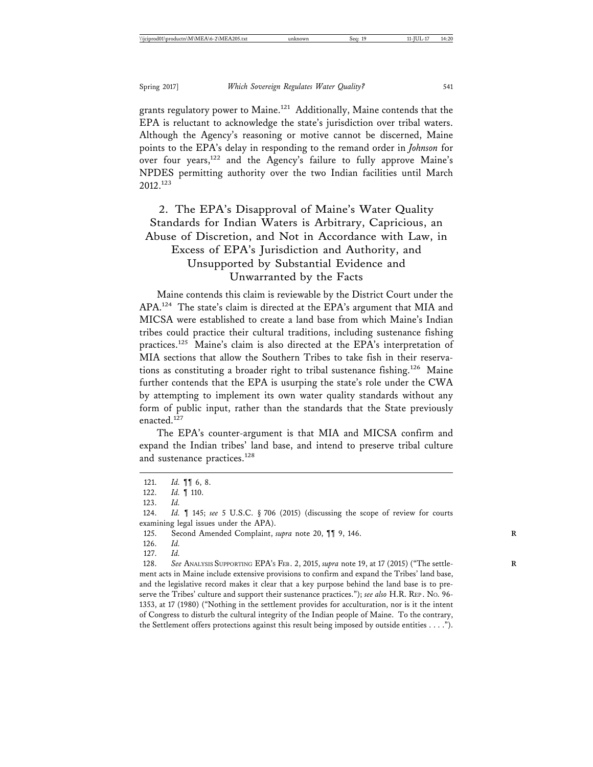grants regulatory power to Maine.<sup>121</sup> Additionally, Maine contends that the EPA is reluctant to acknowledge the state's jurisdiction over tribal waters. Although the Agency's reasoning or motive cannot be discerned, Maine points to the EPA's delay in responding to the remand order in *Johnson* for over four years,<sup>122</sup> and the Agency's failure to fully approve Maine's NPDES permitting authority over the two Indian facilities until March 2012.123

## 2. The EPA's Disapproval of Maine's Water Quality Standards for Indian Waters is Arbitrary, Capricious, an Abuse of Discretion, and Not in Accordance with Law, in Excess of EPA's Jurisdiction and Authority, and Unsupported by Substantial Evidence and Unwarranted by the Facts

Maine contends this claim is reviewable by the District Court under the APA.124 The state's claim is directed at the EPA's argument that MIA and MICSA were established to create a land base from which Maine's Indian tribes could practice their cultural traditions, including sustenance fishing practices.<sup>125</sup> Maine's claim is also directed at the EPA's interpretation of MIA sections that allow the Southern Tribes to take fish in their reservations as constituting a broader right to tribal sustenance fishing.<sup>126</sup> Maine further contends that the EPA is usurping the state's role under the CWA by attempting to implement its own water quality standards without any form of public input, rather than the standards that the State previously enacted.<sup>127</sup>

The EPA's counter-argument is that MIA and MICSA confirm and expand the Indian tribes' land base, and intend to preserve tribal culture and sustenance practices.<sup>128</sup>

128. See ANALYSIS SUPPORTING EPA's FEB. 2, 2015, *supra* note 19, at 17 (2015) ("The settlement acts in Maine include extensive provisions to confirm and expand the Tribes' land base, and the legislative record makes it clear that a key purpose behind the land base is to preserve the Tribes' culture and support their sustenance practices."); *see also* H.R. REP . NO. 96- 1353, at 17 (1980) ("Nothing in the settlement provides for acculturation, nor is it the intent of Congress to disturb the cultural integrity of the Indian people of Maine. To the contrary, the Settlement offers protections against this result being imposed by outside entities . . . .").

<sup>121.</sup> *Id.* ¶¶ 6, 8.

<sup>122.</sup> *Id.* ¶ 110.

<sup>123.</sup> *Id.*

<sup>124.</sup> *Id.* ¶ 145; *see* 5 U.S.C. § 706 (2015) (discussing the scope of review for courts examining legal issues under the APA).

<sup>125.</sup> Second Amended Complaint, *supra* note 20, ¶¶ 9, 146. **R**

<sup>126.</sup> *Id.*

<sup>127.</sup> *Id.*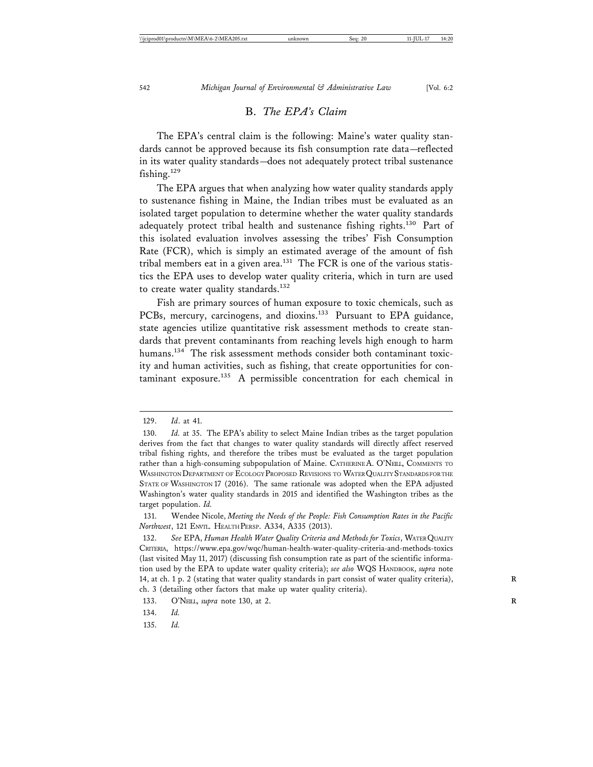#### B. *The EPA's Claim*

The EPA's central claim is the following: Maine's water quality standards cannot be approved because its fish consumption rate data—reflected in its water quality standards—does not adequately protect tribal sustenance fishing.<sup>129</sup>

The EPA argues that when analyzing how water quality standards apply to sustenance fishing in Maine, the Indian tribes must be evaluated as an isolated target population to determine whether the water quality standards adequately protect tribal health and sustenance fishing rights.<sup>130</sup> Part of this isolated evaluation involves assessing the tribes' Fish Consumption Rate (FCR), which is simply an estimated average of the amount of fish tribal members eat in a given area.<sup>131</sup> The FCR is one of the various statistics the EPA uses to develop water quality criteria, which in turn are used to create water quality standards.<sup>132</sup>

Fish are primary sources of human exposure to toxic chemicals, such as PCBs, mercury, carcinogens, and dioxins.<sup>133</sup> Pursuant to EPA guidance, state agencies utilize quantitative risk assessment methods to create standards that prevent contaminants from reaching levels high enough to harm humans.<sup>134</sup> The risk assessment methods consider both contaminant toxicity and human activities, such as fishing, that create opportunities for con $t$ aminant exposure.<sup>135</sup> A permissible concentration for each chemical in

135. *Id.*

<sup>129.</sup> *Id*. at 41.

<sup>130.</sup> *Id.* at 35. The EPA's ability to select Maine Indian tribes as the target population derives from the fact that changes to water quality standards will directly affect reserved tribal fishing rights, and therefore the tribes must be evaluated as the target population rather than a high-consuming subpopulation of Maine. CATHERINE A. O'NEIL, COMMENTS TO WASHINGTON DEPARTMENT OF ECOLOGY PROPOSED REVISIONS TO WATER QUALITY STANDARDS FOR THE STATE OF WASHINGTON 17 (2016). The same rationale was adopted when the EPA adjusted Washington's water quality standards in 2015 and identified the Washington tribes as the target population. *Id.*

<sup>131.</sup> Wendee Nicole, *Meeting the Needs of the People: Fish Consumption Rates in the Pacific Northwest*, 121 ENVTL. HEALTH PERSP. A334, A335 (2013).

<sup>132.</sup> *See* EPA, *Human Health Water Quality Criteria and Methods for Toxics*, WATER QUALITY CRITERIA, https://www.epa.gov/wqc/human-health-water-quality-criteria-and-methods-toxics (last visited May 11, 2017) (discussing fish consumption rate as part of the scientific information used by the EPA to update water quality criteria); *see also* WQS HANDBOOK, *supra* note 14, at ch. 1 p. 2 (stating that water quality standards in part consist of water quality criteria), **R** ch. 3 (detailing other factors that make up water quality criteria).

<sup>133.</sup> O'NEIL, *supra* note 130, at 2.

<sup>134.</sup> *Id.*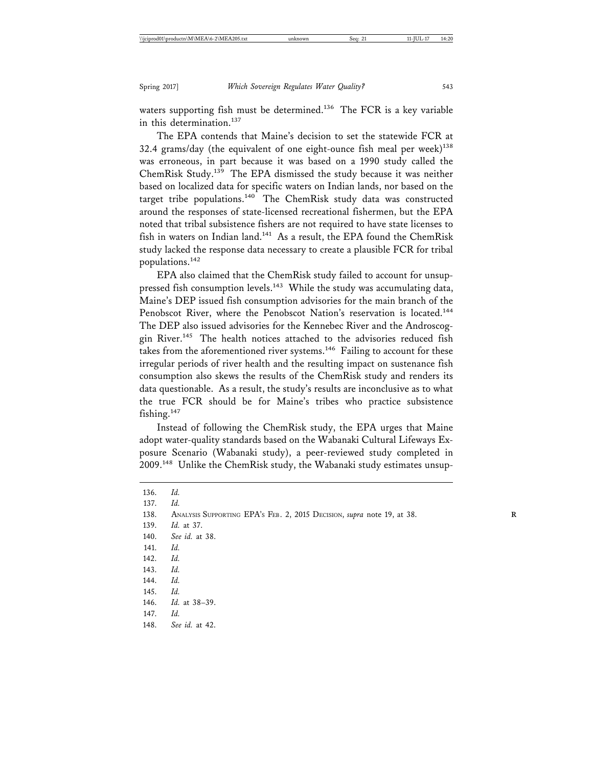waters supporting fish must be determined.<sup>136</sup> The FCR is a key variable in this determination.<sup>137</sup>

The EPA contends that Maine's decision to set the statewide FCR at 32.4 grams/day (the equivalent of one eight-ounce fish meal per week) $138$ was erroneous, in part because it was based on a 1990 study called the ChemRisk Study.139 The EPA dismissed the study because it was neither based on localized data for specific waters on Indian lands, nor based on the target tribe populations. $140$  The ChemRisk study data was constructed around the responses of state-licensed recreational fishermen, but the EPA noted that tribal subsistence fishers are not required to have state licenses to fish in waters on Indian land.<sup>141</sup> As a result, the EPA found the ChemRisk study lacked the response data necessary to create a plausible FCR for tribal populations.142

EPA also claimed that the ChemRisk study failed to account for unsuppressed fish consumption levels.<sup>143</sup> While the study was accumulating data, Maine's DEP issued fish consumption advisories for the main branch of the Penobscot River, where the Penobscot Nation's reservation is located.<sup>144</sup> The DEP also issued advisories for the Kennebec River and the Androscoggin River.145 The health notices attached to the advisories reduced fish takes from the aforementioned river systems.<sup>146</sup> Failing to account for these irregular periods of river health and the resulting impact on sustenance fish consumption also skews the results of the ChemRisk study and renders its data questionable. As a result, the study's results are inconclusive as to what the true FCR should be for Maine's tribes who practice subsistence fishing. $147$ 

Instead of following the ChemRisk study, the EPA urges that Maine adopt water-quality standards based on the Wabanaki Cultural Lifeways Exposure Scenario (Wabanaki study), a peer-reviewed study completed in 2009.<sup>148</sup> Unlike the ChemRisk study, the Wabanaki study estimates unsup-

136. *Id.* 137. *Id.* 138. ANALYSIS SUPPORTING EPA'S FEB. 2, 2015 DECISION, *supra* note 19, at 38. **R** 139. *Id.* at 37. 140. *See id.* at 38. 141. *Id.* 142. *Id.* 143. *Id.* 144. *Id.* 145. *Id.* 146. *Id.* at 38–39. 147. *Id.* 148. *See id.* at 42.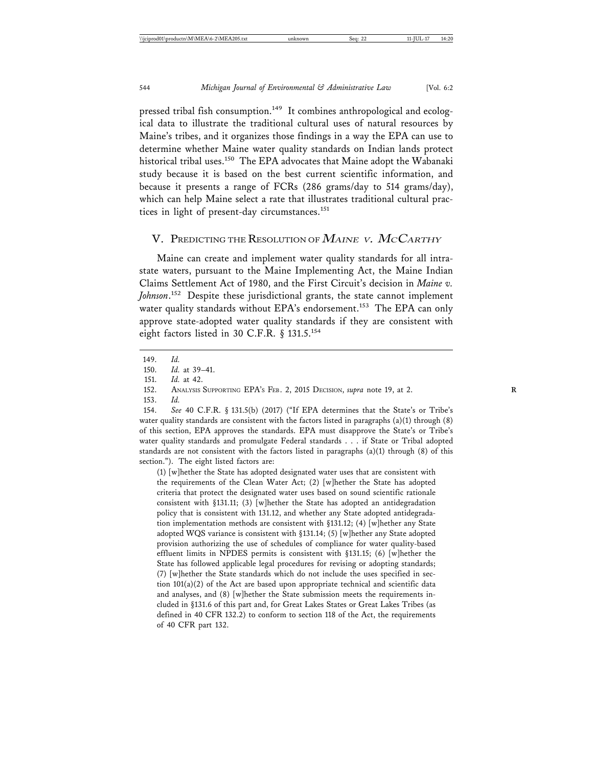pressed tribal fish consumption.<sup>149</sup> It combines anthropological and ecological data to illustrate the traditional cultural uses of natural resources by Maine's tribes, and it organizes those findings in a way the EPA can use to determine whether Maine water quality standards on Indian lands protect historical tribal uses.<sup>150</sup> The EPA advocates that Maine adopt the Wabanaki study because it is based on the best current scientific information, and because it presents a range of FCRs (286 grams/day to 514 grams/day), which can help Maine select a rate that illustrates traditional cultural practices in light of present-day circumstances.<sup>151</sup>

#### V. PREDICTING THE RESOLUTION OF MAINE V. MCCARTHY

Maine can create and implement water quality standards for all intrastate waters, pursuant to the Maine Implementing Act, the Maine Indian Claims Settlement Act of 1980, and the First Circuit's decision in *Maine v. Johnson*. 152 Despite these jurisdictional grants, the state cannot implement water quality standards without EPA's endorsement.<sup>153</sup> The EPA can only approve state-adopted water quality standards if they are consistent with eight factors listed in 30 C.F.R. § 131.5.<sup>154</sup>

154. *See* 40 C.F.R. § 131.5(b) (2017) ("If EPA determines that the State's or Tribe's water quality standards are consistent with the factors listed in paragraphs  $(a)(1)$  through  $(8)$ of this section, EPA approves the standards. EPA must disapprove the State's or Tribe's water quality standards and promulgate Federal standards . . . if State or Tribal adopted standards are not consistent with the factors listed in paragraphs (a)(1) through (8) of this section."). The eight listed factors are:

(1) [w]hether the State has adopted designated water uses that are consistent with the requirements of the Clean Water Act; (2) [w]hether the State has adopted criteria that protect the designated water uses based on sound scientific rationale consistent with §131.11; (3) [w]hether the State has adopted an antidegradation policy that is consistent with 131.12, and whether any State adopted antidegradation implementation methods are consistent with §131.12; (4) [w]hether any State adopted WQS variance is consistent with §131.14; (5) [w]hether any State adopted provision authorizing the use of schedules of compliance for water quality-based effluent limits in NPDES permits is consistent with §131.15; (6) [w]hether the State has followed applicable legal procedures for revising or adopting standards; (7) [w]hether the State standards which do not include the uses specified in section 101(a)(2) of the Act are based upon appropriate technical and scientific data and analyses, and (8) [w]hether the State submission meets the requirements included in §131.6 of this part and, for Great Lakes States or Great Lakes Tribes (as defined in 40 CFR 132.2) to conform to section 118 of the Act, the requirements of 40 CFR part 132.

<sup>149.</sup> *Id.*

<sup>150.</sup> *Id.* at 39–41.

<sup>151.</sup> *Id.* at 42.

<sup>152.</sup> ANALYSIS SUPPORTING EPA'S FEB. 2, 2015 DECISION, *supra* note 19, at 2. **R**

<sup>153.</sup> *Id.*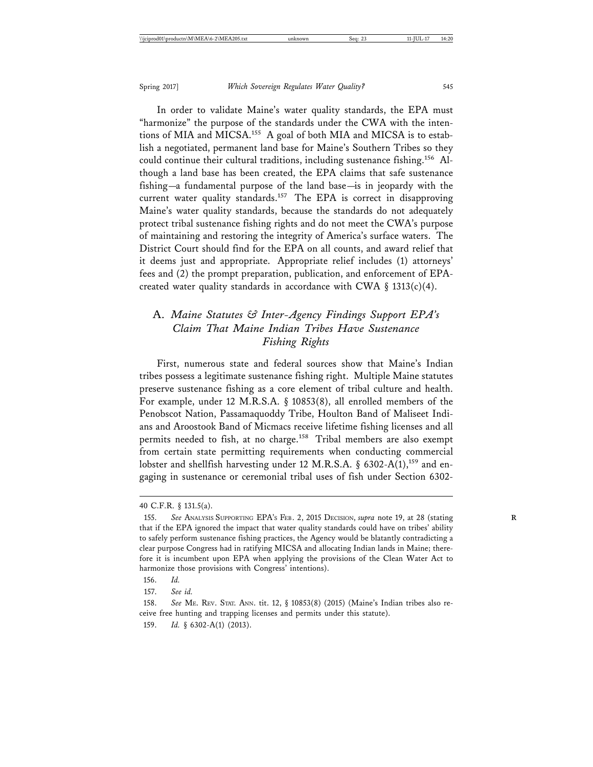In order to validate Maine's water quality standards, the EPA must "harmonize" the purpose of the standards under the CWA with the intentions of MIA and MICSA.<sup>155</sup> A goal of both MIA and MICSA is to establish a negotiated, permanent land base for Maine's Southern Tribes so they could continue their cultural traditions, including sustenance fishing.156 Although a land base has been created, the EPA claims that safe sustenance fishing—a fundamental purpose of the land base—is in jeopardy with the current water quality standards.<sup>157</sup> The EPA is correct in disapproving Maine's water quality standards, because the standards do not adequately protect tribal sustenance fishing rights and do not meet the CWA's purpose of maintaining and restoring the integrity of America's surface waters. The District Court should find for the EPA on all counts, and award relief that it deems just and appropriate. Appropriate relief includes (1) attorneys' fees and (2) the prompt preparation, publication, and enforcement of EPAcreated water quality standards in accordance with CWA §  $1313(c)(4)$ .

## A. *Maine Statutes & Inter-Agency Findings Support EPA's Claim That Maine Indian Tribes Have Sustenance Fishing Rights*

First, numerous state and federal sources show that Maine's Indian tribes possess a legitimate sustenance fishing right. Multiple Maine statutes preserve sustenance fishing as a core element of tribal culture and health. For example, under 12 M.R.S.A. § 10853(8), all enrolled members of the Penobscot Nation, Passamaquoddy Tribe, Houlton Band of Maliseet Indians and Aroostook Band of Micmacs receive lifetime fishing licenses and all permits needed to fish, at no charge.<sup>158</sup> Tribal members are also exempt from certain state permitting requirements when conducting commercial lobster and shellfish harvesting under 12 M.R.S.A. § 6302-A(1),<sup>159</sup> and engaging in sustenance or ceremonial tribal uses of fish under Section 6302-

<sup>40</sup> C.F.R. § 131.5(a).

<sup>155.</sup> *See* ANALYSIS SUPPORTING EPA'S FEB. 2, 2015 DECISION, *supra* note 19, at 28 (stating **R** that if the EPA ignored the impact that water quality standards could have on tribes' ability to safely perform sustenance fishing practices, the Agency would be blatantly contradicting a clear purpose Congress had in ratifying MICSA and allocating Indian lands in Maine; therefore it is incumbent upon EPA when applying the provisions of the Clean Water Act to harmonize those provisions with Congress' intentions).

<sup>156.</sup> *Id.*

<sup>157.</sup> *See id.*

<sup>158.</sup> *See* ME. REV. STAT. ANN. tit. 12, § 10853(8) (2015) (Maine's Indian tribes also receive free hunting and trapping licenses and permits under this statute).

<sup>159.</sup> *Id.* § 6302-A(1) (2013).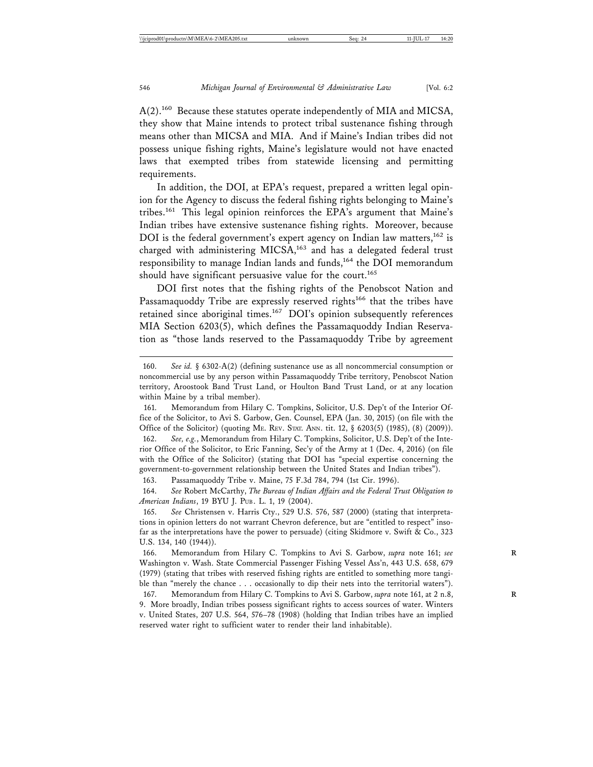A(2).<sup>160</sup> Because these statutes operate independently of MIA and MICSA, they show that Maine intends to protect tribal sustenance fishing through means other than MICSA and MIA. And if Maine's Indian tribes did not possess unique fishing rights, Maine's legislature would not have enacted laws that exempted tribes from statewide licensing and permitting requirements.

In addition, the DOI, at EPA's request, prepared a written legal opinion for the Agency to discuss the federal fishing rights belonging to Maine's tribes.161 This legal opinion reinforces the EPA's argument that Maine's Indian tribes have extensive sustenance fishing rights. Moreover, because DOI is the federal government's expert agency on Indian law matters,<sup>162</sup> is charged with administering MICSA,<sup>163</sup> and has a delegated federal trust responsibility to manage Indian lands and funds,<sup>164</sup> the DOI memorandum should have significant persuasive value for the court.<sup>165</sup>

DOI first notes that the fishing rights of the Penobscot Nation and Passamaquoddy Tribe are expressly reserved rights<sup>166</sup> that the tribes have retained since aboriginal times.167 DOI's opinion subsequently references MIA Section 6203(5), which defines the Passamaquoddy Indian Reservation as "those lands reserved to the Passamaquoddy Tribe by agreement

163. Passamaquoddy Tribe v. Maine, 75 F.3d 784, 794 (1st Cir. 1996).

164. *See* Robert McCarthy, *The Bureau of Indian Affairs and the Federal Trust Obligation to American Indians*, 19 BYU J. PUB. L. 1, 19 (2004).

165. *See* Christensen v. Harris Cty., 529 U.S. 576, 587 (2000) (stating that interpretations in opinion letters do not warrant Chevron deference, but are "entitled to respect" insofar as the interpretations have the power to persuade) (citing Skidmore v. Swift & Co., 323 U.S. 134, 140 (1944)).

<sup>160.</sup> *See id.* § 6302-A(2) (defining sustenance use as all noncommercial consumption or noncommercial use by any person within Passamaquoddy Tribe territory, Penobscot Nation territory, Aroostook Band Trust Land, or Houlton Band Trust Land, or at any location within Maine by a tribal member).

<sup>161.</sup> Memorandum from Hilary C. Tompkins, Solicitor, U.S. Dep't of the Interior Office of the Solicitor, to Avi S. Garbow, Gen. Counsel, EPA (Jan. 30, 2015) (on file with the Office of the Solicitor) (quoting ME. REV. STAT. ANN. tit. 12, § 6203(5) (1985), (8) (2009)). 162. *See, e.g.*, Memorandum from Hilary C. Tompkins, Solicitor, U.S. Dep't of the Interior Office of the Solicitor, to Eric Fanning, Sec'y of the Army at 1 (Dec. 4, 2016) (on file with the Office of the Solicitor) (stating that DOI has "special expertise concerning the government-to-government relationship between the United States and Indian tribes").

<sup>166.</sup> Memorandum from Hilary C. Tompkins to Avi S. Garbow, *supra* note 161; see Washington v. Wash. State Commercial Passenger Fishing Vessel Ass'n, 443 U.S. 658, 679 (1979) (stating that tribes with reserved fishing rights are entitled to something more tangible than "merely the chance . . . occasionally to dip their nets into the territorial waters").

<sup>167.</sup> Memorandum from Hilary C. Tompkins to Avi S. Garbow, *supra* note 161, at 2 n.8, **R** 9. More broadly, Indian tribes possess significant rights to access sources of water. Winters v. United States, 207 U.S. 564, 576–78 (1908) (holding that Indian tribes have an implied reserved water right to sufficient water to render their land inhabitable).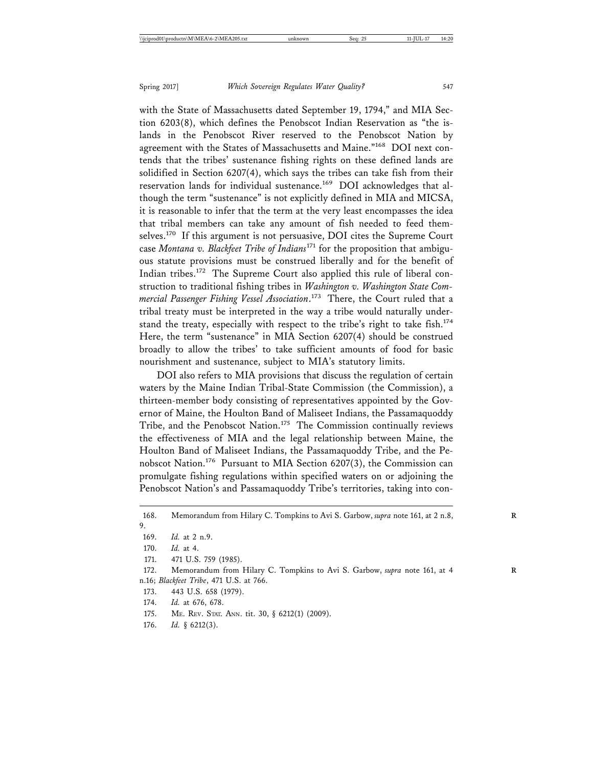with the State of Massachusetts dated September 19, 1794," and MIA Section 6203(8), which defines the Penobscot Indian Reservation as "the islands in the Penobscot River reserved to the Penobscot Nation by agreement with the States of Massachusetts and Maine."<sup>168</sup> DOI next contends that the tribes' sustenance fishing rights on these defined lands are solidified in Section 6207(4), which says the tribes can take fish from their reservation lands for individual sustenance.<sup>169</sup> DOI acknowledges that although the term "sustenance" is not explicitly defined in MIA and MICSA, it is reasonable to infer that the term at the very least encompasses the idea that tribal members can take any amount of fish needed to feed themselves.170 If this argument is not persuasive, DOI cites the Supreme Court case *Montana v. Blackfeet Tribe of Indians*171 for the proposition that ambiguous statute provisions must be construed liberally and for the benefit of Indian tribes.172 The Supreme Court also applied this rule of liberal construction to traditional fishing tribes in *Washington v. Washington State Commercial Passenger Fishing Vessel Association*. 173 There, the Court ruled that a tribal treaty must be interpreted in the way a tribe would naturally understand the treaty, especially with respect to the tribe's right to take fish.<sup>174</sup> Here, the term "sustenance" in MIA Section 6207(4) should be construed broadly to allow the tribes' to take sufficient amounts of food for basic nourishment and sustenance, subject to MIA's statutory limits.

DOI also refers to MIA provisions that discuss the regulation of certain waters by the Maine Indian Tribal-State Commission (the Commission), a thirteen-member body consisting of representatives appointed by the Governor of Maine, the Houlton Band of Maliseet Indians, the Passamaquoddy Tribe, and the Penobscot Nation.<sup>175</sup> The Commission continually reviews the effectiveness of MIA and the legal relationship between Maine, the Houlton Band of Maliseet Indians, the Passamaquoddy Tribe, and the Penobscot Nation.176 Pursuant to MIA Section 6207(3), the Commission can promulgate fishing regulations within specified waters on or adjoining the Penobscot Nation's and Passamaquoddy Tribe's territories, taking into con-

- 173. 443 U.S. 658 (1979).
- 174. *Id.* at 676, 678.
- 175. ME. REV. STAT. ANN. tit. 30, § 6212(1) (2009).
- 176. *Id.* § 6212(3).

<sup>168.</sup> Memorandum from Hilary C. Tompkins to Avi S. Garbow, *supra* note 161, at 2 n.8, 9.

<sup>169.</sup> *Id.* at 2 n.9.

<sup>170.</sup> *Id.* at 4.

<sup>171. 471</sup> U.S. 759 (1985).

<sup>172.</sup> Memorandum from Hilary C. Tompkins to Avi S. Garbow, *supra* note 161, at 4 n.16; *Blackfeet Tribe*, 471 U.S. at 766.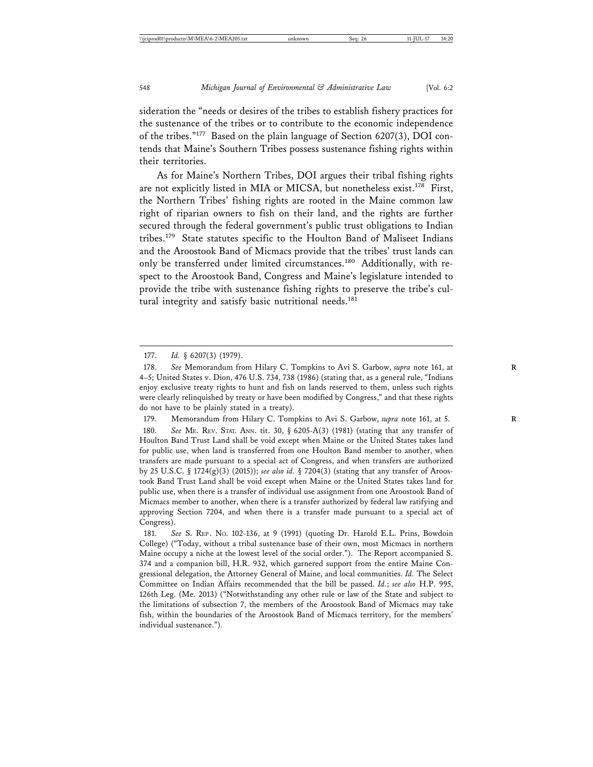sideration the "needs or desires of the tribes to establish fishery practices for the sustenance of the tribes or to contribute to the economic independence of the tribes."177 Based on the plain language of Section 6207(3), DOI contends that Maine's Southern Tribes possess sustenance fishing rights within their territories.

As for Maine's Northern Tribes, DOI argues their tribal fishing rights are not explicitly listed in MIA or MICSA, but nonetheless exist.<sup>178</sup> First, the Northern Tribes' fishing rights are rooted in the Maine common law right of riparian owners to fish on their land, and the rights are further secured through the federal government's public trust obligations to Indian tribes.179 State statutes specific to the Houlton Band of Maliseet Indians and the Aroostook Band of Micmacs provide that the tribes' trust lands can only be transferred under limited circumstances.<sup>180</sup> Additionally, with respect to the Aroostook Band, Congress and Maine's legislature intended to provide the tribe with sustenance fishing rights to preserve the tribe's cultural integrity and satisfy basic nutritional needs.<sup>181</sup>

179. Memorandum from Hilary C. Tompkins to Avi S. Garbow, *supra* note 161, at 5. 180. *See* ME. REV. STAT. ANN. tit. 30, § 6205-A(3) (1981) (stating that any transfer of Houlton Band Trust Land shall be void except when Maine or the United States takes land for public use, when land is transferred from one Houlton Band member to another, when transfers are made pursuant to a special act of Congress, and when transfers are authorized by 25 U.S.C. § 1724(g)(3) (2015)); *see also id.* § 7204(3) (stating that any transfer of Aroostook Band Trust Land shall be void except when Maine or the United States takes land for public use, when there is a transfer of individual use assignment from one Aroostook Band of Micmacs member to another, when there is a transfer authorized by federal law ratifying and approving Section 7204, and when there is a transfer made pursuant to a special act of Congress).

181. *See* S. REP . NO. 102-136, at 9 (1991) (quoting Dr. Harold E.L. Prins, Bowdoin College) ("Today, without a tribal sustenance base of their own, most Micmacs in northern Maine occupy a niche at the lowest level of the social order."). The Report accompanied S. 374 and a companion bill, H.R. 932, which garnered support from the entire Maine Congressional delegation, the Attorney General of Maine, and local communities. *Id.* The Select Committee on Indian Affairs recommended that the bill be passed. *Id.*; *see also* H.P. 995, 126th Leg. (Me. 2013) ("Notwithstanding any other rule or law of the State and subject to the limitations of subsection 7, the members of the Aroostook Band of Micmacs may take fish, within the boundaries of the Aroostook Band of Micmacs territory, for the members' individual sustenance.").

<sup>177.</sup> *Id.* § 6207(3) (1979).

<sup>178.</sup> See Memorandum from Hilary C. Tompkins to Avi S. Garbow, *supra* note 161, at 4–5; United States v. Dion, 476 U.S. 734, 738 (1986) (stating that, as a general rule, "Indians enjoy exclusive treaty rights to hunt and fish on lands reserved to them, unless such rights were clearly relinquished by treaty or have been modified by Congress," and that these rights do not have to be plainly stated in a treaty).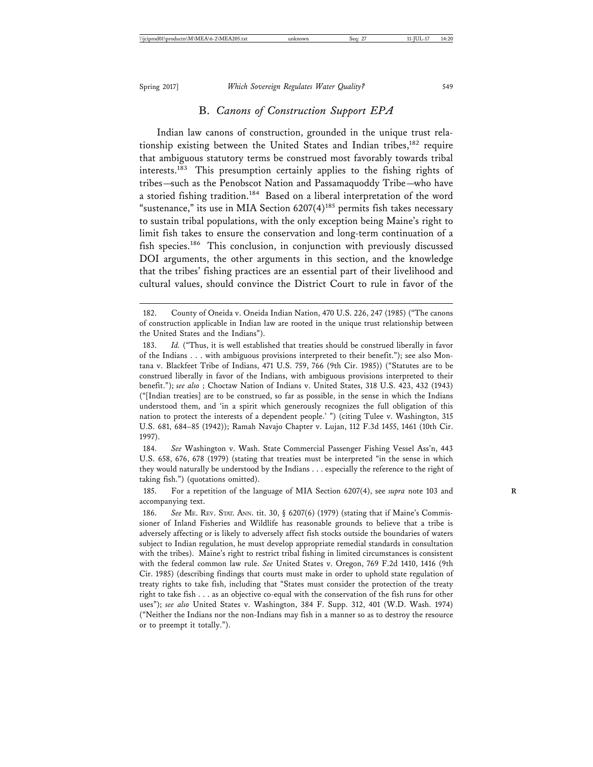#### B. *Canons of Construction Support EPA*

Indian law canons of construction, grounded in the unique trust relationship existing between the United States and Indian tribes,<sup>182</sup> require that ambiguous statutory terms be construed most favorably towards tribal interests.183 This presumption certainly applies to the fishing rights of tribes—such as the Penobscot Nation and Passamaquoddy Tribe—who have a storied fishing tradition.<sup>184</sup> Based on a liberal interpretation of the word "sustenance," its use in MIA Section  $6207(4)^{185}$  permits fish takes necessary to sustain tribal populations, with the only exception being Maine's right to limit fish takes to ensure the conservation and long-term continuation of a fish species.<sup>186</sup> This conclusion, in conjunction with previously discussed DOI arguments, the other arguments in this section, and the knowledge that the tribes' fishing practices are an essential part of their livelihood and cultural values, should convince the District Court to rule in favor of the

184. *See* Washington v. Wash. State Commercial Passenger Fishing Vessel Ass'n, 443 U.S. 658, 676, 678 (1979) (stating that treaties must be interpreted "in the sense in which they would naturally be understood by the Indians . . . especially the reference to the right of taking fish.") (quotations omitted).

185. For a repetition of the language of MIA Section 6207(4), see *supra* note 103 and **R** accompanying text.

186. *See* ME. REV. STAT. ANN. tit. 30, § 6207(6) (1979) (stating that if Maine's Commissioner of Inland Fisheries and Wildlife has reasonable grounds to believe that a tribe is adversely affecting or is likely to adversely affect fish stocks outside the boundaries of waters subject to Indian regulation, he must develop appropriate remedial standards in consultation with the tribes). Maine's right to restrict tribal fishing in limited circumstances is consistent with the federal common law rule. *See* United States v. Oregon, 769 F.2d 1410, 1416 (9th Cir. 1985) (describing findings that courts must make in order to uphold state regulation of treaty rights to take fish, including that "States must consider the protection of the treaty right to take fish . . . as an objective co-equal with the conservation of the fish runs for other uses"); *see also* United States v. Washington, 384 F. Supp. 312, 401 (W.D. Wash. 1974) ("Neither the Indians nor the non-Indians may fish in a manner so as to destroy the resource or to preempt it totally.").

<sup>182.</sup> County of Oneida v. Oneida Indian Nation, 470 U.S. 226, 247 (1985) ("The canons of construction applicable in Indian law are rooted in the unique trust relationship between the United States and the Indians").

<sup>183.</sup> *Id.* ("Thus, it is well established that treaties should be construed liberally in favor of the Indians . . . with ambiguous provisions interpreted to their benefit."); see also Montana v. Blackfeet Tribe of Indians, 471 U.S. 759, 766 (9th Cir. 1985)) ("Statutes are to be construed liberally in favor of the Indians, with ambiguous provisions interpreted to their benefit."); *see also* ; Choctaw Nation of Indians v. United States, 318 U.S. 423, 432 (1943) ("[Indian treaties] are to be construed, so far as possible, in the sense in which the Indians understood them, and 'in a spirit which generously recognizes the full obligation of this nation to protect the interests of a dependent people.' ") (citing Tulee v. Washington, 315 U.S. 681, 684–85 (1942)); Ramah Navajo Chapter v. Lujan, 112 F.3d 1455, 1461 (10th Cir. 1997).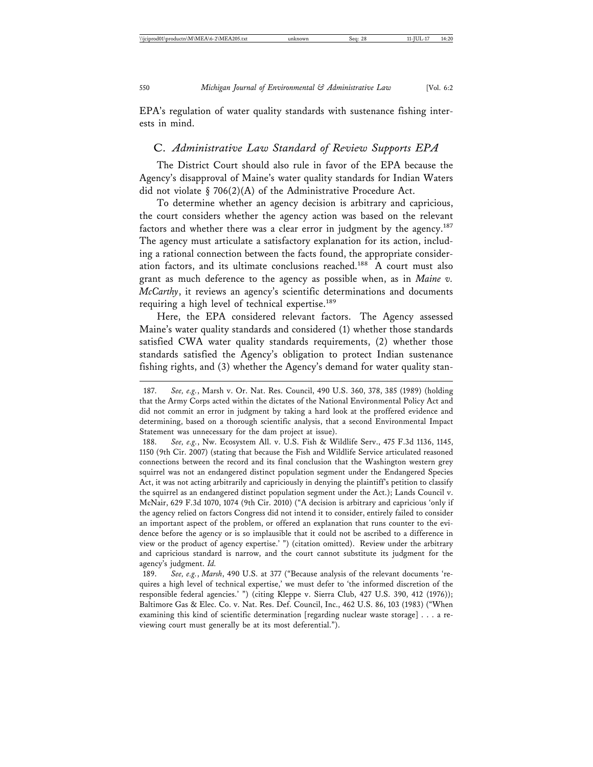EPA's regulation of water quality standards with sustenance fishing interests in mind.

#### C. *Administrative Law Standard of Review Supports EPA*

The District Court should also rule in favor of the EPA because the Agency's disapproval of Maine's water quality standards for Indian Waters did not violate § 706(2)(A) of the Administrative Procedure Act.

To determine whether an agency decision is arbitrary and capricious, the court considers whether the agency action was based on the relevant factors and whether there was a clear error in judgment by the agency.<sup>187</sup> The agency must articulate a satisfactory explanation for its action, including a rational connection between the facts found, the appropriate consideration factors, and its ultimate conclusions reached.<sup>188</sup> A court must also grant as much deference to the agency as possible when, as in *Maine v. McCarthy*, it reviews an agency's scientific determinations and documents requiring a high level of technical expertise.<sup>189</sup>

Here, the EPA considered relevant factors. The Agency assessed Maine's water quality standards and considered (1) whether those standards satisfied CWA water quality standards requirements, (2) whether those standards satisfied the Agency's obligation to protect Indian sustenance fishing rights, and (3) whether the Agency's demand for water quality stan-

<sup>187.</sup> *See, e.g.*, Marsh v. Or. Nat. Res. Council, 490 U.S. 360, 378, 385 (1989) (holding that the Army Corps acted within the dictates of the National Environmental Policy Act and did not commit an error in judgment by taking a hard look at the proffered evidence and determining, based on a thorough scientific analysis, that a second Environmental Impact Statement was unnecessary for the dam project at issue).

<sup>188.</sup> *See, e.g.*, Nw. Ecosystem All. v. U.S. Fish & Wildlife Serv., 475 F.3d 1136, 1145, 1150 (9th Cir. 2007) (stating that because the Fish and Wildlife Service articulated reasoned connections between the record and its final conclusion that the Washington western grey squirrel was not an endangered distinct population segment under the Endangered Species Act, it was not acting arbitrarily and capriciously in denying the plaintiff's petition to classify the squirrel as an endangered distinct population segment under the Act.); Lands Council v. McNair, 629 F.3d 1070, 1074 (9th Cir. 2010) ("A decision is arbitrary and capricious 'only if the agency relied on factors Congress did not intend it to consider, entirely failed to consider an important aspect of the problem, or offered an explanation that runs counter to the evidence before the agency or is so implausible that it could not be ascribed to a difference in view or the product of agency expertise.' ") (citation omitted). Review under the arbitrary and capricious standard is narrow, and the court cannot substitute its judgment for the agency's judgment. *Id.*

<sup>189.</sup> *See, e.g.*, *Marsh*, 490 U.S. at 377 ("Because analysis of the relevant documents 'requires a high level of technical expertise,' we must defer to 'the informed discretion of the responsible federal agencies.' ") (citing Kleppe v. Sierra Club, 427 U.S. 390, 412 (1976)); Baltimore Gas & Elec. Co. v. Nat. Res. Def. Council, Inc., 462 U.S. 86, 103 (1983) ("When examining this kind of scientific determination [regarding nuclear waste storage] . . . a reviewing court must generally be at its most deferential.").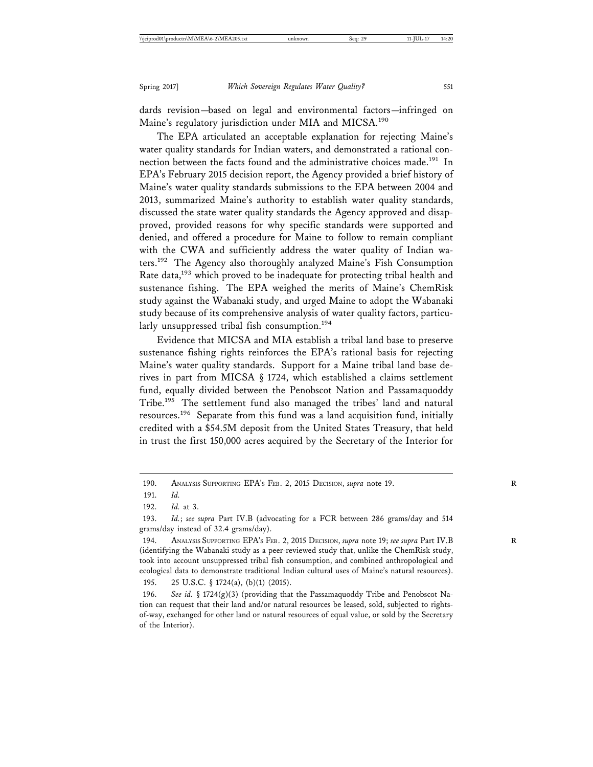dards revision—based on legal and environmental factors—infringed on Maine's regulatory jurisdiction under MIA and MICSA.<sup>190</sup>

The EPA articulated an acceptable explanation for rejecting Maine's water quality standards for Indian waters, and demonstrated a rational connection between the facts found and the administrative choices made.<sup>191</sup> In EPA's February 2015 decision report, the Agency provided a brief history of Maine's water quality standards submissions to the EPA between 2004 and 2013, summarized Maine's authority to establish water quality standards, discussed the state water quality standards the Agency approved and disapproved, provided reasons for why specific standards were supported and denied, and offered a procedure for Maine to follow to remain compliant with the CWA and sufficiently address the water quality of Indian waters.192 The Agency also thoroughly analyzed Maine's Fish Consumption Rate data,<sup>193</sup> which proved to be inadequate for protecting tribal health and sustenance fishing. The EPA weighed the merits of Maine's ChemRisk study against the Wabanaki study, and urged Maine to adopt the Wabanaki study because of its comprehensive analysis of water quality factors, particularly unsuppressed tribal fish consumption.<sup>194</sup>

Evidence that MICSA and MIA establish a tribal land base to preserve sustenance fishing rights reinforces the EPA's rational basis for rejecting Maine's water quality standards. Support for a Maine tribal land base derives in part from MICSA § 1724, which established a claims settlement fund, equally divided between the Penobscot Nation and Passamaquoddy Tribe.<sup>195</sup> The settlement fund also managed the tribes' land and natural resources.196 Separate from this fund was a land acquisition fund, initially credited with a \$54.5M deposit from the United States Treasury, that held in trust the first 150,000 acres acquired by the Secretary of the Interior for

195. 25 U.S.C. § 1724(a), (b)(1) (2015).

<sup>190.</sup> ANALYSIS SUPPORTING EPA'S FEB. 2, 2015 DECISION, *supra* note 19. **R**

<sup>191.</sup> *Id.*

<sup>192.</sup> *Id.* at 3.

<sup>193.</sup> *Id.*; *see supra* Part IV.B (advocating for a FCR between 286 grams/day and 514 grams/day instead of 32.4 grams/day).

<sup>194.</sup> ANALYSIS SUPPORTING EPA'S FEB. 2, 2015 DECISION, *supra* note 19; *see supra* Part IV.B **R** (identifying the Wabanaki study as a peer-reviewed study that, unlike the ChemRisk study, took into account unsuppressed tribal fish consumption, and combined anthropological and ecological data to demonstrate traditional Indian cultural uses of Maine's natural resources).

<sup>196.</sup> *See id.* § 1724(g)(3) (providing that the Passamaquoddy Tribe and Penobscot Nation can request that their land and/or natural resources be leased, sold, subjected to rightsof-way, exchanged for other land or natural resources of equal value, or sold by the Secretary of the Interior).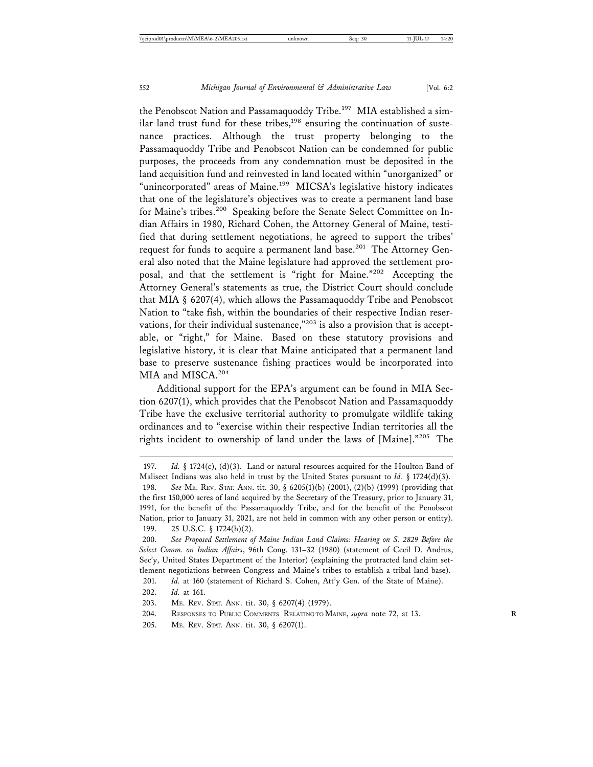the Penobscot Nation and Passamaquoddy Tribe.<sup>197</sup> MIA established a similar land trust fund for these tribes,<sup>198</sup> ensuring the continuation of sustenance practices. Although the trust property belonging to the Passamaquoddy Tribe and Penobscot Nation can be condemned for public purposes, the proceeds from any condemnation must be deposited in the land acquisition fund and reinvested in land located within "unorganized" or "unincorporated" areas of Maine.<sup>199</sup> MICSA's legislative history indicates that one of the legislature's objectives was to create a permanent land base for Maine's tribes.<sup>200</sup> Speaking before the Senate Select Committee on Indian Affairs in 1980, Richard Cohen, the Attorney General of Maine, testified that during settlement negotiations, he agreed to support the tribes' request for funds to acquire a permanent land base.<sup>201</sup> The Attorney General also noted that the Maine legislature had approved the settlement proposal, and that the settlement is "right for Maine."202 Accepting the Attorney General's statements as true, the District Court should conclude that MIA § 6207(4), which allows the Passamaquoddy Tribe and Penobscot Nation to "take fish, within the boundaries of their respective Indian reservations, for their individual sustenance,"<sup>203</sup> is also a provision that is acceptable, or "right," for Maine. Based on these statutory provisions and legislative history, it is clear that Maine anticipated that a permanent land base to preserve sustenance fishing practices would be incorporated into MIA and MISCA.<sup>204</sup>

Additional support for the EPA's argument can be found in MIA Section 6207(1), which provides that the Penobscot Nation and Passamaquoddy Tribe have the exclusive territorial authority to promulgate wildlife taking ordinances and to "exercise within their respective Indian territories all the rights incident to ownership of land under the laws of [Maine]."205 The

205. ME. REV. STAT. ANN. tit. 30, § 6207(1).

<sup>197.</sup> *Id.* § 1724(c), (d)(3). Land or natural resources acquired for the Houlton Band of Maliseet Indians was also held in trust by the United States pursuant to *Id.* § 1724(d)(3). 198. *See* ME. REV. STAT. ANN. tit. 30, § 6205(1)(b) (2001), (2)(b) (1999) (providing that

the first 150,000 acres of land acquired by the Secretary of the Treasury, prior to January 31, 1991, for the benefit of the Passamaquoddy Tribe, and for the benefit of the Penobscot Nation, prior to January 31, 2021, are not held in common with any other person or entity). 199. 25 U.S.C. § 1724(h)(2).

<sup>200.</sup> *See Proposed Settlement of Maine Indian Land Claims: Hearing on S. 2829 Before the Select Comm. on Indian Affairs*, 96th Cong. 131–32 (1980) (statement of Cecil D. Andrus, Sec'y, United States Department of the Interior) (explaining the protracted land claim settlement negotiations between Congress and Maine's tribes to establish a tribal land base).

<sup>201.</sup> *Id.* at 160 (statement of Richard S. Cohen, Att'y Gen. of the State of Maine).

<sup>202.</sup> *Id.* at 161.

<sup>203.</sup> ME. REV. STAT. ANN. tit. 30, § 6207(4) (1979).

<sup>204.</sup> RESPONSES TO PUBLIC COMMENTS RELATING TO MAINE, *supra* note 72, at 13.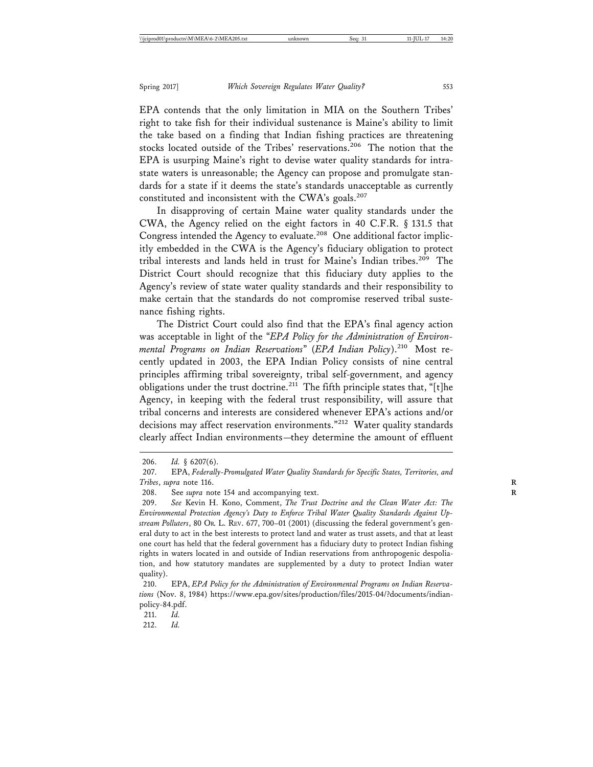EPA contends that the only limitation in MIA on the Southern Tribes' right to take fish for their individual sustenance is Maine's ability to limit the take based on a finding that Indian fishing practices are threatening stocks located outside of the Tribes' reservations.<sup>206</sup> The notion that the EPA is usurping Maine's right to devise water quality standards for intrastate waters is unreasonable; the Agency can propose and promulgate standards for a state if it deems the state's standards unacceptable as currently constituted and inconsistent with the CWA's goals.<sup>207</sup>

In disapproving of certain Maine water quality standards under the CWA, the Agency relied on the eight factors in 40 C.F.R. § 131.5 that Congress intended the Agency to evaluate.<sup>208</sup> One additional factor implicitly embedded in the CWA is the Agency's fiduciary obligation to protect tribal interests and lands held in trust for Maine's Indian tribes.<sup>209</sup> The District Court should recognize that this fiduciary duty applies to the Agency's review of state water quality standards and their responsibility to make certain that the standards do not compromise reserved tribal sustenance fishing rights.

The District Court could also find that the EPA's final agency action was acceptable in light of the "*EPA Policy for the Administration of Environmental Programs on Indian Reservations*" (*EPA Indian Policy*).210 Most recently updated in 2003, the EPA Indian Policy consists of nine central principles affirming tribal sovereignty, tribal self-government, and agency obligations under the trust doctrine.<sup>211</sup> The fifth principle states that, "[t]he Agency, in keeping with the federal trust responsibility, will assure that tribal concerns and interests are considered whenever EPA's actions and/or decisions may affect reservation environments."<sup>212</sup> Water quality standards clearly affect Indian environments—they determine the amount of effluent

212. *Id.*

<sup>206.</sup> *Id.* § 6207(6).

<sup>207.</sup> EPA, *Federally-Promulgated Water Quality Standards for Specific States, Territories, and Tribes*, *supra* note 116. **R**

<sup>208.</sup> See *supra* note 154 and accompanying text.

<sup>209.</sup> *See* Kevin H. Kono, Comment, *The Trust Doctrine and the Clean Water Act: The Environmental Protection Agency's Duty to Enforce Tribal Water Quality Standards Against Upstream Polluters*, 80 OR. L. REV. 677, 700–01 (2001) (discussing the federal government's general duty to act in the best interests to protect land and water as trust assets, and that at least one court has held that the federal government has a fiduciary duty to protect Indian fishing rights in waters located in and outside of Indian reservations from anthropogenic despoliation, and how statutory mandates are supplemented by a duty to protect Indian water quality).

<sup>210.</sup> EPA, *EPA Policy for the Administration of Environmental Programs on Indian Reservations* (Nov. 8, 1984) https://www.epa.gov/sites/production/files/2015-04/?documents/indianpolicy-84.pdf.

<sup>211.</sup> *Id.*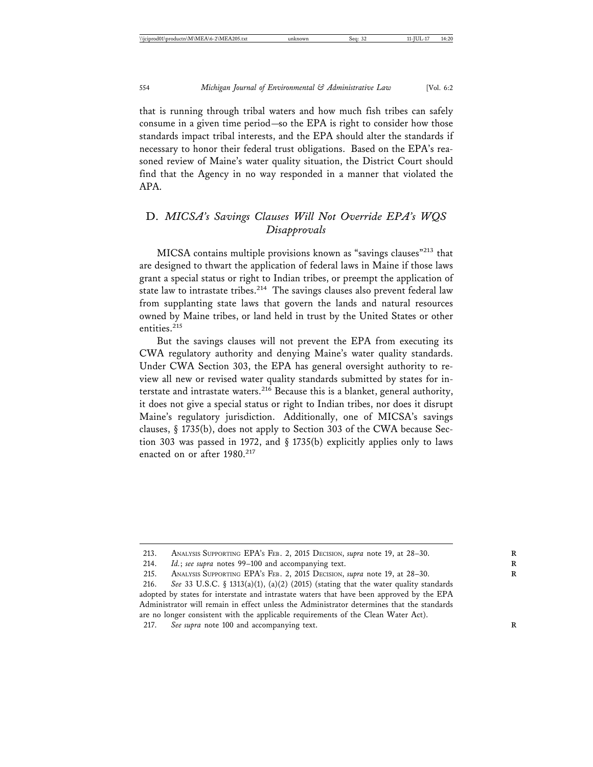that is running through tribal waters and how much fish tribes can safely consume in a given time period—so the EPA is right to consider how those standards impact tribal interests, and the EPA should alter the standards if necessary to honor their federal trust obligations. Based on the EPA's reasoned review of Maine's water quality situation, the District Court should find that the Agency in no way responded in a manner that violated the APA.

## D. *MICSA's Savings Clauses Will Not Override EPA's WQS Disapprovals*

MICSA contains multiple provisions known as "savings clauses"213 that are designed to thwart the application of federal laws in Maine if those laws grant a special status or right to Indian tribes, or preempt the application of state law to intrastate tribes.<sup>214</sup> The savings clauses also prevent federal law from supplanting state laws that govern the lands and natural resources owned by Maine tribes, or land held in trust by the United States or other entities.<sup>215</sup>

But the savings clauses will not prevent the EPA from executing its CWA regulatory authority and denying Maine's water quality standards. Under CWA Section 303, the EPA has general oversight authority to review all new or revised water quality standards submitted by states for interstate and intrastate waters.<sup>216</sup> Because this is a blanket, general authority, it does not give a special status or right to Indian tribes, nor does it disrupt Maine's regulatory jurisdiction. Additionally, one of MICSA's savings clauses, § 1735(b), does not apply to Section 303 of the CWA because Section 303 was passed in 1972, and § 1735(b) explicitly applies only to laws enacted on or after 1980.<sup>217</sup>

217. *See supra* note 100 and accompanying text. **R**

<sup>213.</sup> ANALYSIS SUPPORTING EPA'S FEB. 2, 2015 DECISION, *supra* note 19, at 28–30. **R**

<sup>214.</sup> *Id.*; *see supra* notes 99–100 and accompanying text.

<sup>215.</sup> ANALYSIS SUPPORTING EPA'S FEB. 2, 2015 DECISION, *supra* note 19, at 28–30. **R**

<sup>216.</sup> *See* 33 U.S.C. § 1313(a)(1), (a)(2) (2015) (stating that the water quality standards adopted by states for interstate and intrastate waters that have been approved by the EPA Administrator will remain in effect unless the Administrator determines that the standards are no longer consistent with the applicable requirements of the Clean Water Act).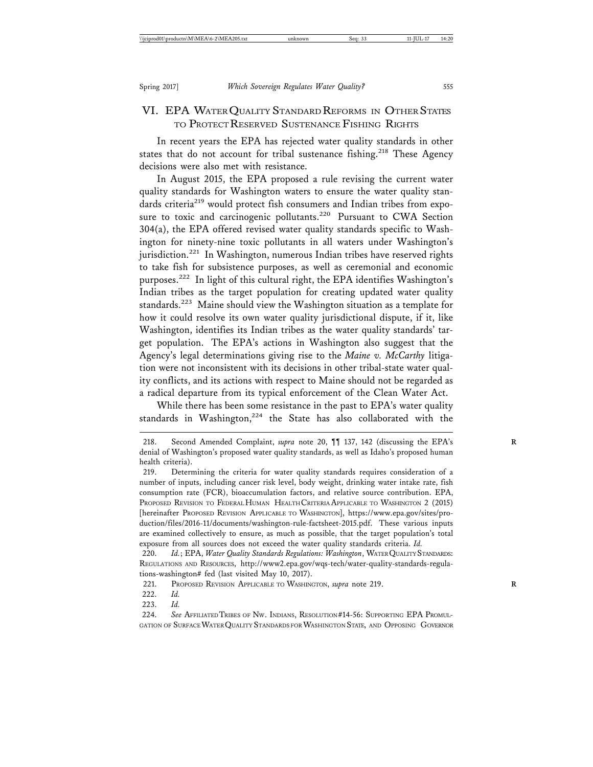## VI. EPA WATER QUALITY STANDARD REFORMS IN OTHER STATES TO PROTECT RESERVED SUSTENANCE FISHING RIGHTS

In recent years the EPA has rejected water quality standards in other states that do not account for tribal sustenance fishing.<sup>218</sup> These Agency decisions were also met with resistance.

In August 2015, the EPA proposed a rule revising the current water quality standards for Washington waters to ensure the water quality standards criteria<sup>219</sup> would protect fish consumers and Indian tribes from exposure to toxic and carcinogenic pollutants.<sup>220</sup> Pursuant to CWA Section 304(a), the EPA offered revised water quality standards specific to Washington for ninety-nine toxic pollutants in all waters under Washington's jurisdiction.<sup>221</sup> In Washington, numerous Indian tribes have reserved rights to take fish for subsistence purposes, as well as ceremonial and economic purposes.222 In light of this cultural right, the EPA identifies Washington's Indian tribes as the target population for creating updated water quality standards.<sup>223</sup> Maine should view the Washington situation as a template for how it could resolve its own water quality jurisdictional dispute, if it, like Washington, identifies its Indian tribes as the water quality standards' target population. The EPA's actions in Washington also suggest that the Agency's legal determinations giving rise to the *Maine v. McCarthy* litigation were not inconsistent with its decisions in other tribal-state water quality conflicts, and its actions with respect to Maine should not be regarded as a radical departure from its typical enforcement of the Clean Water Act.

While there has been some resistance in the past to EPA's water quality standards in Washington,<sup>224</sup> the State has also collaborated with the

220. *Id.*; EPA, *Water Quality Standards Regulations: Washington*, WATER QUALITY STANDARDS: REGULATIONS AND RESOURCES, http://www2.epa.gov/wqs-tech/water-quality-standards-regulations-washington# fed (last visited May 10, 2017).

221. PROPOSED REVISION APPLICABLE TO WASHINGTON, *supra* note 219. **R**

223. *Id.*

<sup>218.</sup> Second Amended Complaint, *supra* note 20,  $\P$  137, 142 (discussing the EPA's denial of Washington's proposed water quality standards, as well as Idaho's proposed human health criteria).

<sup>219.</sup> Determining the criteria for water quality standards requires consideration of a number of inputs, including cancer risk level, body weight, drinking water intake rate, fish consumption rate (FCR), bioaccumulation factors, and relative source contribution. EPA, PROPOSED REVISION TO FEDERAL HUMAN HEALTH CRITERIA APPLICABLE TO WASHINGTON 2 (2015) [hereinafter PROPOSED REVISION APPLICABLE TO WASHINGTON], https://www.epa.gov/sites/production/files/2016-11/documents/washington-rule-factsheet-2015.pdf. These various inputs are examined collectively to ensure, as much as possible, that the target population's total exposure from all sources does not exceed the water quality standards criteria. *Id.*

<sup>222.</sup> *Id.*

<sup>224.</sup> *See* AFFILIATED TRIBES OF NW. INDIANS, RESOLUTION #14-56: SUPPORTING EPA PROMUL-GATION OF SURFACE WATER QUALITY STANDARDS FOR WASHINGTON STATE, AND OPPOSING GOVERNOR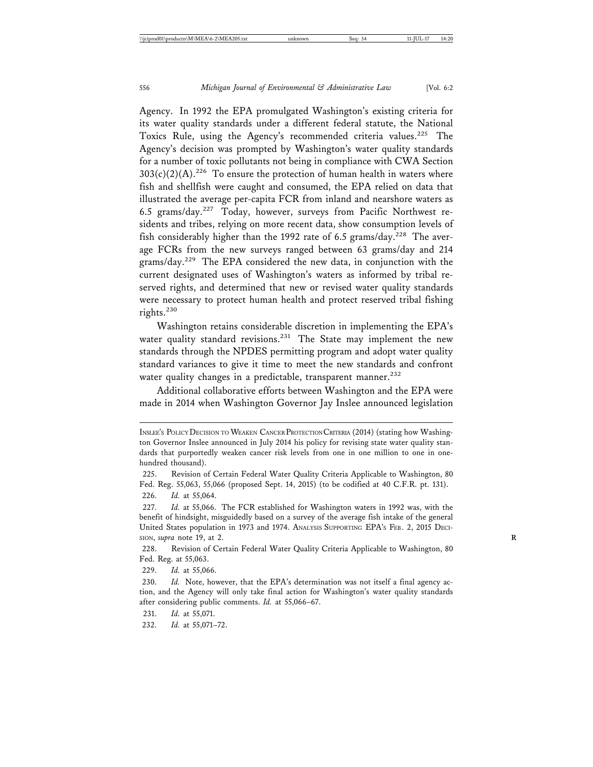Agency. In 1992 the EPA promulgated Washington's existing criteria for its water quality standards under a different federal statute, the National Toxics Rule, using the Agency's recommended criteria values.<sup>225</sup> The Agency's decision was prompted by Washington's water quality standards for a number of toxic pollutants not being in compliance with CWA Section  $303(c)(2)(A).^{226}$  To ensure the protection of human health in waters where fish and shellfish were caught and consumed, the EPA relied on data that illustrated the average per-capita FCR from inland and nearshore waters as 6.5 grams/day.<sup>227</sup> Today, however, surveys from Pacific Northwest residents and tribes, relying on more recent data, show consumption levels of fish considerably higher than the 1992 rate of 6.5 grams/day.<sup>228</sup> The average FCRs from the new surveys ranged between 63 grams/day and 214 grams/day.229 The EPA considered the new data, in conjunction with the current designated uses of Washington's waters as informed by tribal reserved rights, and determined that new or revised water quality standards were necessary to protect human health and protect reserved tribal fishing rights.<sup>230</sup>

Washington retains considerable discretion in implementing the EPA's water quality standard revisions.<sup>231</sup> The State may implement the new standards through the NPDES permitting program and adopt water quality standard variances to give it time to meet the new standards and confront water quality changes in a predictable, transparent manner.<sup>232</sup>

Additional collaborative efforts between Washington and the EPA were made in 2014 when Washington Governor Jay Inslee announced legislation

229. *Id.* at 55,066.

231. *Id.* at 55,071.

232. *Id.* at 55,071–72.

INSLEE'S POLICY DECISION TO WEAKEN CANCER PROTECTION CRITERIA (2014) (stating how Washington Governor Inslee announced in July 2014 his policy for revising state water quality standards that purportedly weaken cancer risk levels from one in one million to one in onehundred thousand).

<sup>225.</sup> Revision of Certain Federal Water Quality Criteria Applicable to Washington, 80 Fed. Reg. 55,063, 55,066 (proposed Sept. 14, 2015) (to be codified at 40 C.F.R. pt. 131). 226. *Id.* at 55,064.

<sup>227.</sup> *Id.* at 55,066. The FCR established for Washington waters in 1992 was, with the benefit of hindsight, misguidedly based on a survey of the average fish intake of the general United States population in 1973 and 1974. ANALYSIS SUPPORTING EPA'S FEB. 2, 2015 DECI-SION, *supra* note 19, at 2. **R**

<sup>228.</sup> Revision of Certain Federal Water Quality Criteria Applicable to Washington, 80 Fed. Reg. at 55,063.

<sup>230.</sup> *Id.* Note, however, that the EPA's determination was not itself a final agency action, and the Agency will only take final action for Washington's water quality standards after considering public comments. *Id.* at 55,066–67.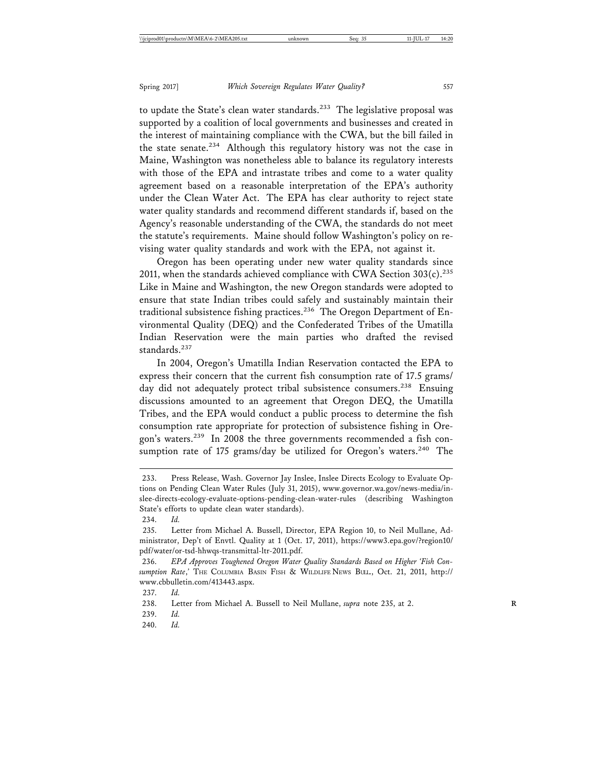to update the State's clean water standards.<sup>233</sup> The legislative proposal was supported by a coalition of local governments and businesses and created in the interest of maintaining compliance with the CWA, but the bill failed in the state senate.<sup>234</sup> Although this regulatory history was not the case in Maine, Washington was nonetheless able to balance its regulatory interests with those of the EPA and intrastate tribes and come to a water quality agreement based on a reasonable interpretation of the EPA's authority under the Clean Water Act. The EPA has clear authority to reject state water quality standards and recommend different standards if, based on the Agency's reasonable understanding of the CWA, the standards do not meet the statute's requirements. Maine should follow Washington's policy on revising water quality standards and work with the EPA, not against it.

Oregon has been operating under new water quality standards since 2011, when the standards achieved compliance with CWA Section  $303(c)$ .<sup>235</sup> Like in Maine and Washington, the new Oregon standards were adopted to ensure that state Indian tribes could safely and sustainably maintain their traditional subsistence fishing practices.<sup>236</sup> The Oregon Department of Environmental Quality (DEQ) and the Confederated Tribes of the Umatilla Indian Reservation were the main parties who drafted the revised standards.<sup>237</sup>

In 2004, Oregon's Umatilla Indian Reservation contacted the EPA to express their concern that the current fish consumption rate of 17.5 grams/ day did not adequately protect tribal subsistence consumers.<sup>238</sup> Ensuing discussions amounted to an agreement that Oregon DEQ, the Umatilla Tribes, and the EPA would conduct a public process to determine the fish consumption rate appropriate for protection of subsistence fishing in Oregon's waters.239 In 2008 the three governments recommended a fish consumption rate of 175 grams/day be utilized for Oregon's waters.<sup>240</sup> The

239. *Id.*

<sup>233.</sup> Press Release, Wash. Governor Jay Inslee, Inslee Directs Ecology to Evaluate Options on Pending Clean Water Rules (July 31, 2015), www.governor.wa.gov/news-media/inslee-directs-ecology-evaluate-options-pending-clean-water-rules (describing Washington State's efforts to update clean water standards).

<sup>234.</sup> *Id.*

<sup>235.</sup> Letter from Michael A. Bussell, Director, EPA Region 10, to Neil Mullane, Administrator, Dep't of Envtl. Quality at 1 (Oct. 17, 2011), https://www3.epa.gov/?region10/ pdf/water/or-tsd-hhwqs-transmittal-ltr-2011.pdf.

<sup>236.</sup> *EPA Approves Toughened Oregon Water Quality Standards Based on Higher 'Fish Consumption Rate*,*'* THE COLUMBIA BASIN FISH & WILDLIFE NEWS BULL., Oct. 21, 2011, http:// www.cbbulletin.com/413443.aspx.

<sup>237.</sup> *Id.*

<sup>238.</sup> Letter from Michael A. Bussell to Neil Mullane, *supra* note 235, at 2.

<sup>240.</sup> *Id.*